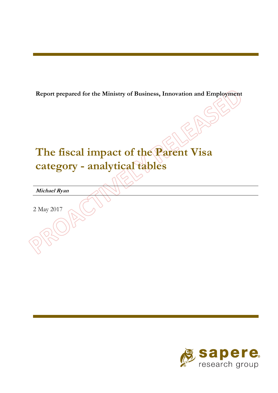**Report prepared for the Ministry of Business, Innovation and Employment** 

# **The fiscal impact of the Parent Visa category - analytical tables**

**Michael Ryan** 

2 May 2017

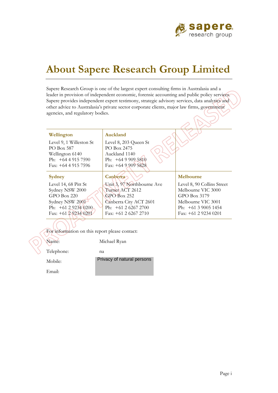

 $\overline{\mathcal{N}}$ 

 $\lambda$ 

# **About Sapere Research Group Limited**

Sapere Research Group is one of the largest expert consulting firms in Australasia and a leader in provision of independent economic, forensic accounting and public policy services. Sapere provides independent expert testimony, strategic advisory services, data analytics and other advice to Australasia's private sector corporate clients, major law firms, government agencies, and regulatory bodies.

| Wellington              | Auckland                   |                            |
|-------------------------|----------------------------|----------------------------|
| Level 9, 1 Willeston St | Level 8, 203 Queen St      |                            |
| PO Box 587              | PO Box 2475                |                            |
| Wellington 6140         | Auckland 1140              |                            |
| Ph: $+6449157590$       | Ph: $+6499095810$          |                            |
| Fax: $+64$ 4 915 7596   | Fax: $+6499095828$         |                            |
|                         |                            |                            |
| Sydney                  | Canberra                   | Melbourne                  |
|                         |                            |                            |
| Level 14, 68 Pitt St    | Unit 3, 97 Northbourne Ave | Level 8, 90 Collins Street |
| Sydney NSW 2000         | Turner ACT 2612            | Melbourne VIC 3000         |
| $GPO$ Box 220           | $GPO$ Box 252              | GPO Box 3179               |
| Sydney NSW 2001         | Canberra City ACT 2601     | Melbourne VIC 3001         |
| Ph: $+61292340200$      | Ph: $+61262672700$         | Ph: $+61$ 3 9005 1454      |
| Fax: $+61$ 2 9234 0201  | Fax: $+61$ 2 6267 2710     | Fax: $+61$ 2 9234 0201     |

For information on this report please contact:

Name: Michael Ryan

Telephone: na

Mobile:

Privacy of natural persons

Email: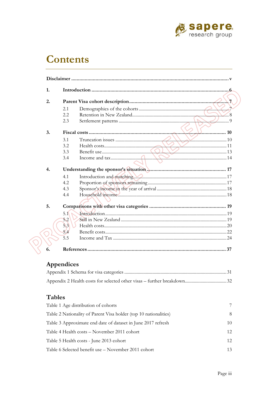

## **Contents**

| 1. |      |             |
|----|------|-------------|
| 2. |      |             |
|    | 2.1  |             |
|    | 2.2  |             |
|    | 2.3  |             |
| 3. |      | $\ldots$ 10 |
|    | 3.1  |             |
|    | 3.2  |             |
|    | 3.3  |             |
|    | 3.4  |             |
| 4. |      |             |
|    | 4.1  |             |
|    | 4.2. |             |
|    | 4.3  |             |
|    | 4.4  |             |
| 5. |      |             |
|    | 5.1  |             |
|    | 5.2  |             |
|    | 5.3  |             |
|    | 5.4  |             |
|    | 5.5  |             |
| 6. |      |             |

### Appendices

### **Tables**

| Table 1 Age distribution of cohorts                              | 7   |
|------------------------------------------------------------------|-----|
| Table 2 Nationality of Parent Visa holder (top 10 nationalities) | 8   |
| Table 3 Approximate end date of dataset in June 2017 refresh     | 10  |
| Table 4 Health costs – November 2011 cohort                      | 12. |
| Table 5 Health costs - June 2013 cohort                          | 12. |
| Table 6 Selected benefit use – November 2011 cohort              | 13  |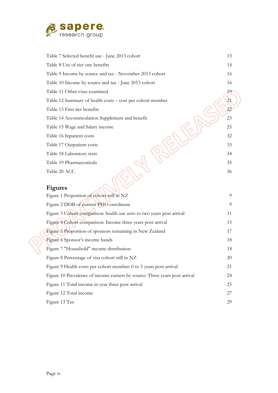

| Table 7 Selected benefit use - June 2013 cohort           | 13 |
|-----------------------------------------------------------|----|
| Table 8 Use of tier one benefits                          | 14 |
| Table 9 Income by source and tax - November 2013 cohort   | 16 |
| Table 10 Income by source and tax - June 2013 cohort      | 16 |
| Table 11 Other visas examined                             | 19 |
| Table 12 Summary of health costs – cost per cohort member | 21 |
| Table 13 First tier benefits                              | 22 |
| Table 14 Accommodation Supplement and benefit             | 23 |
| Table 15 Wage and Salary income                           | 25 |
| Table 16 Inpatient costs                                  | 32 |
| Table 17 Outpatient costs                                 | 33 |
| Table 18 Laboratory tests                                 | 34 |
| Table 19 Pharmaceuticals                                  | 35 |
| Table 20 ACC                                              | 36 |
|                                                           |    |

### **Figures**

| Figure 1 Proportion of cohort still in NZ                                  | 9  |
|----------------------------------------------------------------------------|----|
| Figure 2 DHB of current PHO enrolment                                      | 9  |
| Figure 3 Cohort comparison: health use zero to two years post arrival      | 11 |
| Figure 4 Cohort comparison: Income three years post arrival                | 15 |
| Figure 5 Proportion of sponsors remaining in New Zealand                   | 17 |
| Figure 6 Sponsor's income bands                                            | 18 |
| Figure 7 "Household" income distribution                                   | 18 |
| Figure 8 Percentage of visa cohort still in NZ                             | 20 |
| Figure 9 Health costs per cohort member: 0 to 5 years post arrival         | 21 |
| Figure 10 Prevalence of income earners by source: Three years post arrival | 24 |
| Figure 11 Total income in year three post arrival                          | 25 |
| Figure 12 Total income                                                     | 27 |
| Figure 13 Tax                                                              | 29 |
|                                                                            |    |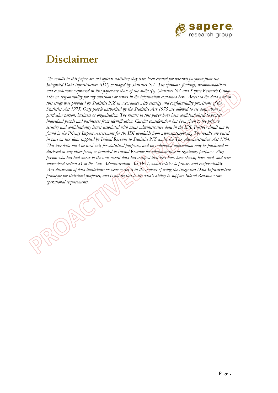

## **Disclaimer**

RSOF

*The results in this paper are not official statistics; they have been created for research purposes from the Integrated Data Infrastructure (IDI) managed by Statistics NZ. The opinions, findings, recommendations and conclusions expressed in this paper are those of the author(s). Statistics NZ and Sapere Research Group take no responsibility for any omissions or errors in the information contained here. Access to the data used in this study was provided by Statistics NZ in accordance with security and confidentiality provisions of the Statistics Act 1975. Only people authorised by the Statistics Act 1975 are allowed to see data about a particular person, business or organisation. The results in this paper have been confidentialised to protect individual people and businesses from identification. Careful consideration has been given to the privacy, security and confidentiality issues associated with using administrative data in the IDI. Further detail can be found in the Privacy Impact Assessment for the IDI available from <www.stats.govt.nz>. The results are based in part on tax data supplied by Inland Revenue to Statistics NZ under the Tax Administration Act 1994. This tax data must be used only for statistical purposes, and no individual information may be published or disclosed in any other form, or provided to Inland Revenue for administrative or regulatory purposes. Any person who has had access to the unit-record data has certified that they have been shown, have read, and have understood section 81 of the Tax Administration Act 1994, which relates to privacy and confidentiality. Any discussion of data limitations or weaknesses is in the context of using the Integrated Data Infrastructure prototype for statistical purposes, and is not related to the data's ability to support Inland Revenue's core operational requirements.*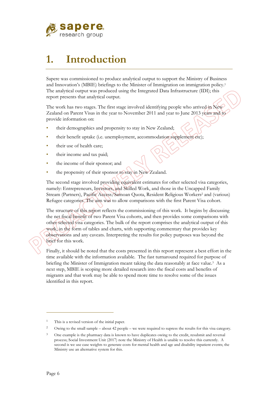

# **1. Introduction**

Sapere was commissioned to produce analytical output to support the Ministry of Business and Innovation's (MBIE) briefings to the Minister of Immigration on immigration policy.1 The analytical output was produced using the Integrated Data Infrastructure (IDI); this report presents that analytical output.

The work has two stages. The first stage involved identifying people who arrived in New Zealand on Parent Visas in the year to November 2011 and year to June 2013 years and to provide information on:

- their demographics and propensity to stay in New Zealand;
- their benefit uptake (i.e. unemployment, accommodation supplement etc);
- their use of health care;
- their income and tax paid;
- the income of their sponsor; and
- the propensity of their sponsor to stay in New Zealand.

The second stage involved providing equivalent estimates for other selected visa categories, namely: Entrepreneurs, Investors, and Skilled Work, and those in the Uncapped Family Stream (Partners), Pacific Access/Samoan Quota, Resident Religious Workers2 and (various) Refugee categories. The aim was to allow comparisons with the first Parent Visa cohort.

The structure of this report reflects the commissioning of this work. It begins by discussing the net fiscal benefit of two Parent Visa cohorts, and then provides some comparisons with other selected visa categories. The bulk of the report comprises the analytical output of this work, in the form of tables and charts, with supporting commentary that provides key observations and any caveats. Interpreting the results for policy purposes was beyond the brief for this work.

Finally, it should be noted that the costs presented in this report represent a best effort in the time available with the information available. The fast turnaround required for purpose of briefing the Minister of Immigration meant taking the data reasonably at face value.3 As a next step, MBIE is scoping more detailed research into the fiscal costs and benefits of migrants and that work may be able to spend more time to resolve some of the issues identified in this report.

This is a revised version of the initial paper.

<sup>2</sup> Owing to the small sample – about 42 people – we were required to supress the results for this visa category.

<sup>&</sup>lt;sup>3</sup> One example is the pharmacy data is known to have duplicates owing to the credit, resubmit and reversal process; Social Investment Unit (2017) note the Ministry of Health is unable to resolve this currently. A second is we use case weights to generate costs for mental health and age and disability inpatient events; the Ministry use an alternative system for this.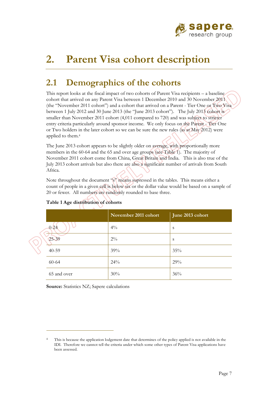

# **2. Parent Visa cohort description**

## **2.1 Demographics of the cohorts**

applied to them.<sup>4</sup> This report looks at the fiscal impact of two cohorts of Parent Visa recipients – a baseline cohort that arrived on any Parent Visa between 1 December 2010 and 30 November 2011 (the "November 2011 cohort") and a cohort that arrived on a Parent - Tier One or Two Visa between 1 July 2012 and 30 June 2013 (the "June 2013 cohort"). The July 2013 cohort is smaller than November 2011 cohort (4,011 compared to 720) and was subject to stricter entry criteria particularly around sponsor income. We only focus on the Parent - Tier One or Two holders in the later cohort so we can be sure the new rules (as at May 2012) were

The June 2013 cohort appears to be slightly older on average, with proportionally more members in the 60-64 and the 65 and over age groups (see Table 1). The majority of November 2011 cohort come from China, Great Britain and India. This is also true of the July 2013 cohort arrivals but also there are also a significant number of arrivals from South Africa.

Note throughout the document "s" means supressed in the tables. This means either a count of people in a given cell is below six or the dollar value would be based on a sample of 20 or fewer. All numbers are randomly rounded to base three.

|             | November 2011 cohort | June 2013 cohort |  |  |
|-------------|----------------------|------------------|--|--|
| $0 - 24$    | $4\%$                | S                |  |  |
| $25 - 39$   | $2\%$                | S                |  |  |
| $40 - 59$   | 39%                  | 35%              |  |  |
| 60-64       | 24%                  | 29%              |  |  |
| 65 and over | 30%                  | 36%              |  |  |

### **Table 1 Age distribution of cohorts**

**Source:** Statistics NZ; Sapere calculations

This is because the application lodgement date that determines of the policy applied is not available in the IDI. Therefore we cannot tell the criteria under which some other types of Parent Visa applications have been assessed. 4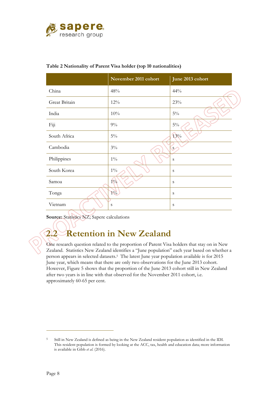

|               | November 2011 cohort | June 2013 cohort |
|---------------|----------------------|------------------|
| China         | 48%                  | 44%              |
| Great Britain | 12%                  | $23\%$           |
| India         | 10%                  | $5\%$            |
| Fiji          | $9\%$                | $5\%$            |
| South Africa  | $5\%$                | 13%              |
| Cambodia      | $3\%$                | $S_{-}$          |
| Philippines   | $1\%$                | S                |
| South Korea   | $1\%$                | S                |
| Samoa         | $1\%$                | S                |
| Tonga         | $1\%$                | S                |
| Vietnam       | S                    | S                |

#### **Table 2 Nationality of Parent Visa holder (top 10 nationalities)**

**Source:** Statistics NZ; Sapere calculations

## **2.2 Retention in New Zealand**

One research question related to the proportion of Parent Visa holders that stay on in New Zealand. Statistics New Zealand identifies a "June population" each year based on whether a person appears in selected datasets.5 The latest June year population available is for 2015 June year, which means that there are only two observations for the June 2013 cohort. However, Figure 5 shows that the proportion of the June 2013 cohort still in New Zealand after two years is in line with that observed for the November 2011 cohort, i.e. approximately 60-65 per cent.

 5 Still in New Zealand is defined as being in the New Zealand resident population as identified in the IDI. This resident population is formed by looking at the ACC, tax, health and education data; more information is available in Gibb *et al.* (2016).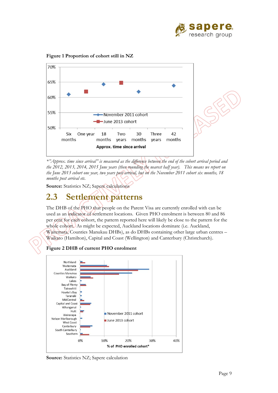



**Figure 1 Proportion of cohort still in NZ** 

*\*"Approx. time since arrival" is measured as the difference between the end of the cohort arrival period and the 2012, 2013, 2014, 2015 June years (then rounding the nearest half year). This means we report on the June 2013 cohort one year, two years post arrival, but on the November 2011 cohort six months, 18 months post arrival etc.* 

**Source:** Statistics NZ; Sapere calculations

## **2.3 Settlement patterns**

The DHB of the PHO that people on the Parent Visa are currently enrolled with can be used as an indicator of settlement locations. Given PHO enrolment is between 80 and 86 per cent for each cohort, the pattern reported here will likely be close to the pattern for the whole cohort. As might be expected, Auckland locations dominate (i.e. Auckland, Waitemata, Counties Manukau DHBs), as do DHBs containing other large urban centres – Waikato (Hamilton), Capital and Coast (Wellington) and Canterbury (Christchurch).

**Figure 2 DHB of current PHO enrolment** 



**Source:** Statistics NZ; Sapere calculation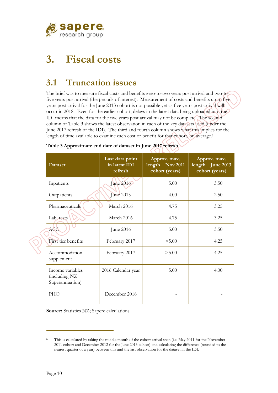

# **3. Fiscal costs**

## **3.1 Truncation issues**

length of time available to examine each cost or benefit for that cohort, on average.<sup>6</sup> The brief was to measure fiscal costs and benefits zero-to-two years post arrival and two-tofive years post arrival (the periods of interest). Measurement of costs and benefits up to five years post arrival for the June 2013 cohort is not possible yet as five years post arrival will occur in 2018. Even for the earlier cohort, delays in the latest data being uploaded into the IDI means that the data for the five years post arrival may not be complete. The second column of Table 3 shows the latest observation in each of the key datasets used (under the June 2017 refresh of the IDI). The third and fourth column shows what this implies for the

| <b>Dataset</b>                                       | Last data point<br>in latest IDI<br>refresh | Approx. max.<br>$length - Nov 2011$<br>cohort (years) | Approx. max.<br>length - June 2013<br>cohort (years) |
|------------------------------------------------------|---------------------------------------------|-------------------------------------------------------|------------------------------------------------------|
| Inpatients                                           | June 2016                                   | 5.00                                                  | 3.50                                                 |
| Outpatients                                          | June 2015                                   | 4.00                                                  | 2.50                                                 |
| Pharmaceuticals                                      | March 2016                                  | 4.75                                                  | 3.25                                                 |
| Lab. tests                                           | March 2016                                  | 4.75                                                  | 3.25                                                 |
| <b>ACC</b>                                           | June 2016                                   | 5.00                                                  | 3.50                                                 |
| First tier benefits                                  | February 2017                               | > 5.00                                                | 4.25                                                 |
| Accommodation<br>supplement                          | February 2017                               | > 5.00                                                | 4.25                                                 |
| Income variables<br>(including NZ<br>Superannuation) | 2016 Calendar year                          | 5.00                                                  | 4.00                                                 |
| <b>PHO</b>                                           | December 2016                               |                                                       |                                                      |

|  |  | Table 3 Approximate end date of dataset in June 2017 refresh |  |
|--|--|--------------------------------------------------------------|--|
|  |  |                                                              |  |

**Source:** Statistics NZ; Sapere calculations

 6 This is calculated by taking the middle month of the cohort arrival span (i.e. May 2011 for the November 2011 cohort and December 2012 for the June 2013 cohort) and calculating the difference (rounded to the nearest quarter of a year) between this and the last observation for the dataset in the IDI.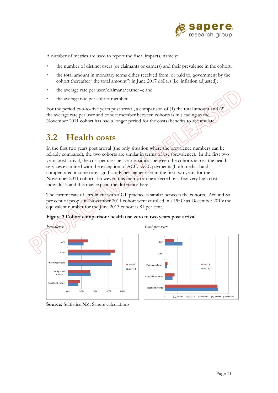

A number of metrics are used to report the fiscal impacts, namely:

- the number of distinct users (or claimants or earners) and their prevalence in the cohort;
- the total amount in monetary terms either received from, or paid to, government by the cohort (hereafter "the total amount") in June 2017 dollars (i.e. inflation adjusted);
- the average rate per user/claimant/earner –; and
- the average rate per cohort member.

For the period two-to-five years post arrival, a comparison of (1) the total amount and (2) the average rate per user and cohort member between cohorts is misleading as the November 2011 cohort has had a longer period for the costs/benefits to accumulate.

## **3.2 Health costs**

In the first two years post arrival (the only situation where the prevalence numbers can be reliably compared), the two cohorts are similar in terms of use (prevalence). In the first two years post arrival, the cost per user per year is similar between the cohorts across the health services examined with the exception of ACC. ACC payments (both medical and compensated income) are significantly per higher user in the first two years for the November 2011 cohort. However, this metric can be affected by a few very high cost individuals and this may explain the difference here.

The current rate of enrolment with a GP practice is similar between the cohorts. Around 86 per cent of people in November 2011 cohort were enrolled in a PHO as December 2016; the equivalent number for the June 2013 cohort is 81 per cent.





**Source:** Statistics NZ; Sapere calculations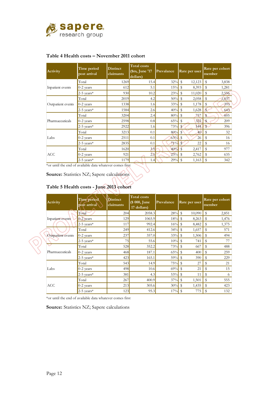

### **Table 4 Health costs – November 2011 cohort**

| Activity          | Time period<br>post arrival | <b>Distinct</b><br>claimants | <b>Total costs</b><br>(\$m, June '17)<br>dollars) | Prevalance | Rate per user                      | Rate per cohort<br>member |
|-------------------|-----------------------------|------------------------------|---------------------------------------------------|------------|------------------------------------|---------------------------|
|                   | Total                       | 1269                         | 15.4                                              | 32%        | S<br>12,123                        | s<br>3,838                |
| Inpatient events  | $0-2$ years                 | 612                          | 5.1                                               | $15\%$ \$  | 8,393                              | s<br>1,281                |
|                   | $2-5$ years*                | 930                          | 10.2                                              | 23%        | $\overline{\phantom{a}}$<br>11,020 | s<br>2,556                |
|                   | Total                       | 2019                         | 4.2                                               | $50\%$ \$  | 2,058                              | 1,037<br>s                |
| Outpatient events | $0-2$ years                 | 1338                         | 1.6                                               | 33%        | - \$<br>1,178                      | 393<br>s                  |
|                   | $2-5$ years*                | 1584                         | 2.6                                               | 40%        | -S<br>1,628                        | 643<br>S                  |
|                   | Total                       | 3204                         | 2.4                                               | 80%        | - \$<br>757                        | 605                       |
| Pharmaceuticals   | $0-2$ years                 | 2598                         | 0.8                                               | 65%        | 322<br>- \$                        | 209                       |
|                   | $2-5$ years*                | 2922                         | 1.6                                               | 73%        | 544<br>$\mathbf s$                 | 396<br>\$                 |
|                   | Total                       | 3213                         | 0.1                                               | $80%$ \$   | 40                                 | 32<br>s                   |
| Labs              | $0-2$ years                 | 2511                         | 0.1                                               | $63\%$ \$  | 26                                 | S<br>16                   |
|                   | $2-5$ years*                | 2835                         | 0.1                                               | 71%        | 22<br>$\mathbb{S}$                 | s<br>16                   |
|                   | Total                       | 1620                         | 3.9                                               | $40%$ \$   | 2,417                              | 977<br>S                  |
| <b>ACC</b>        | $0-2$ years                 | 921                          | 2.5                                               | $23\%$ \$  | 2,762                              | 635<br>s                  |
|                   | $2-5$ vears*                | 1179                         | 1.4                                               | 29%        | - \$<br>1,163                      | s<br>342                  |

\*or until the end of available data whatever comes first

**Source:** Statistics NZ; Sapere calculations

### **Table 5 Health costs - June 2013 cohort**

| Activity          | Time period<br>post arrival | <b>Distinct</b><br>claimants | <b>Total</b> costs<br>(\$ 000, June<br>17 dollars) | Prevalance | Rate per user          | Rate per cohort<br>member |
|-------------------|-----------------------------|------------------------------|----------------------------------------------------|------------|------------------------|---------------------------|
|                   | Total                       | 204                          | 2058.3                                             | 28%        | $\mathbb{S}$<br>10,090 | S<br>2,851                |
| Inpatient events  | $0-2$ years                 | 129                          | 1065.9                                             | 18%        | $\mathbb{S}$<br>8,263  | S<br>1,476                |
|                   | $2-5$ years*                | 117                          | 992.4                                              | 16%        | $\mathbf{s}$<br>8,482  | S<br>1,375                |
|                   | Total                       | 249                          | 412.6                                              | 34%        | - \$<br>1,657          | 571<br>s                  |
| Outpatient events | $0-2$ years                 | 237                          | 357.0                                              | 33%        | $\mathbf s$<br>1,506   | \$<br>494                 |
|                   | $2-5$ years*                | 75                           | 55.6                                               | 10%        | $\mathbb{S}$<br>741    | 77<br>s                   |
|                   | Total                       | 528                          | 352.2                                              | 73%        | - \$<br>667            | \$<br>488                 |
| Pharmaceuticals   | $0-2$ years                 | 468                          | 187.1                                              | 65%        | $\mathbb{S}$<br>400    | S<br>259                  |
|                   | $2-5$ years*                | 423                          | 165.1                                              | 59%        | $\mathbf s$<br>390     | \$<br>229                 |
|                   | Total                       | 543                          | 14.9                                               | 75%        | $\mathbf s$<br>27      | S<br>21                   |
| Labs              | $0-2$ years                 | 498                          | 10.6                                               | 69%        | $\mathbf{s}$<br>21     | \$<br>15                  |
|                   | $2-5$ years*                | 381                          | 4.3                                                | $53\%$ \$  | 11                     | S<br>6                    |
|                   | Total                       | 267                          | 400.9                                              | 37%        | $\mathbf s$<br>1,501   | S<br>555                  |
| ACC               | $0-2$ years                 | 213                          | 305.6                                              | 30%        | $\mathbf{s}$<br>1,435  | S<br>423                  |
|                   | $2-5$ years*                | 123                          | 95.3                                               | 17%        | - \$<br>775            | \$<br>132                 |

\*or until the end of available data whatever comes first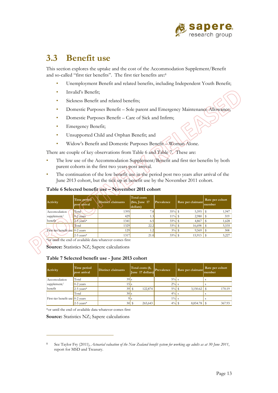

### **3.3 Benefit use**

This section explores the uptake and the cost of the Accommodation Supplement/Benefit and so-called "first tier benefits". The first tier benefits are:8

- Unemployment Benefit and related benefits, including Independent Youth Benefit;
- Invalid's Benefit;
- Sickness Benefit and related benefits;
- Domestic Purposes Benefit Sole parent and Emergency Maintenance Allowance; Domestic Purposes Benefit Care of Sick and Infirm;
- 
- Emergency Benefit;
- Unsupported Child and Orphan Benefit; and
- Widow's Benefit and Domestic Purposes Benefit Woman Alone.

There are couple of key observations from Table 6 and Table 7. These are:

- The low use of the Accommodation Supplement/Benefit and first tier benefits by both parent cohorts in the first two years post arrival.
- The continuation of the low benefit use in the period post two years after arrival of the June 2013 cohort, but the tick up in benefit use by the November 2011 cohort.

#### **Table 6 Selected benefit use – November 2011 cohort**

| Activity                         | Time period<br>post arrival | Distinct claimants | Total costs<br>$$\mathsf{(}}\$ m, June 17<br>dollars) | Prevalence | Rate per claimant | Rate per cohort<br>member |
|----------------------------------|-----------------------------|--------------------|-------------------------------------------------------|------------|-------------------|---------------------------|
| Accomodation                     | Total                       | 1395               | 7.8                                                   | $35%$ \$   | $5,595$   \$      | 1,947                     |
| supplement/                      | $0-2$ vears                 | 429                | 1.3                                                   | $11\%$ \$  | 2,980             | 319                       |
| benefit                          | $2-5$ vears*                | 1341               | 6.5                                                   | 33%        | 4,867             | 1,628                     |
|                                  | Total                       | 1329               | 22.2                                                  | 33%        | 16,698<br>S       | 5,535                     |
| First tier benefit use 0-2 years |                             | 129                | 1.2                                                   | 3%         | 9,569             | 308                       |
|                                  | $2-5$ vears*                | 1317               | 21.0                                                  | 33%        | 15,913            | 5,227                     |

\*or until the end of available data whatever comes first

**Source:** Statistics NZ; Sapere calculations

#### **Table 7 Selected benefit use - June 2013 cohort**

| Activity                           | Time period<br>post arrival | <b>Distinct claimants</b> | Total costs (\$,<br>June 17 dollars) | Prevalence | Rate per claimant | Rate per cohort<br>member |
|------------------------------------|-----------------------------|---------------------------|--------------------------------------|------------|-------------------|---------------------------|
| Accomodation                       | Total                       | $39$ s                    |                                      | $5\%$ s    |                   |                           |
| supplement/                        | $0-2$ vears                 | 15 I s                    |                                      | $2\%$ s    |                   |                           |
| benefit                            | $2-5$ years*                | $39$ $\frac{1}{3}$        | 122,874                              | $5\%$ \$   | 3,150.62          | 170.19                    |
|                                    | Total                       | $30$ s                    |                                      | $4\%$ s    |                   |                           |
| First tier benefit use $0-2$ years |                             |                           |                                      | $1\%$      |                   |                           |
|                                    | $2-5$ years*                |                           | 265,643                              | $4\%$ \$   | 8,854.78          | 367.93                    |

\*or until the end of available data whatever comes first

**Source:** Statistics NZ; Sapere calculations

See Taylor Fry (2011), *Actuarial valuation of the New Zealand benefit system for working age adults as at 30 June 2011*, report for MSD and Treasury. 8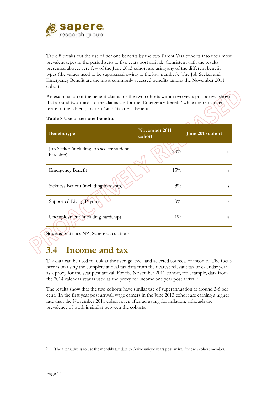

Table 8 breaks out the use of tier one benefits by the two Parent Visa cohorts into their most prevalent types in the period zero to five years post arrival. Consistent with the results presented above, very few of the June 2013 cohort are using any of the different benefit types (the values need to be suppressed owing to the low number). The Job Seeker and Emergency Benefit are the most commonly accessed benefits among the November 2011 cohort.

An examination of the benefit claims for the two cohorts within two years post arrival shows that around two-thirds of the claims are for the 'Emergency Benefit' while the remainder relate to the 'Unemployment' and 'Sickness' benefits.

| <b>Benefit type</b>                                   | November 2011<br>cohort | June 2013 cohort |
|-------------------------------------------------------|-------------------------|------------------|
| Job Seeker (including job seeker student<br>hardship) | 20%                     | S                |
| <b>Emergency Benefit</b>                              | 15%                     | S                |
| Sickness Benefit (including hardship)                 | $3\%$                   | S                |
| Supported Living Payment                              | $3\%$                   | S                |
| Unemployment (including hardship)                     | $1\%$                   | S                |

#### **Table 8 Use of tier one benefits**

**Source:** Statistics NZ, Sapere calculations

## **3.4 Income and tax**

the 2014 calendar year is used as the proxy for income one year post arrival.<sup>9</sup> Tax data can be used to look at the average level, and selected sources, of income. The focus here is on using the complete annual tax data from the nearest relevant tax or calendar year as a proxy for the year post arrival For the November 2011 cohort, for example, data from

The results show that the two cohorts have similar use of superannuation at around 3-6 per cent. In the first year post arrival, wage earners in the June 2013 cohort are earning a higher rate than the November 2011 cohort even after adjusting for inflation, although the prevalence of work is similar between the cohorts.

The alternative is to use the monthly tax data to derive unique years post arrival for each cohort member. 9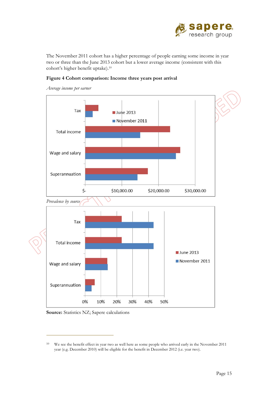

 cohort's higher benefit [uptake\).10](https://uptake).10)  The November 2011 cohort has a higher percentage of people earning some income in year two or three than the June 2013 cohort but a lower average income (consistent with this





*Average income per earner* 

**Source:** Statistics NZ; Sapere calculations

 $10\,$ We see the benefit effect in year two as well here as some people who arrived early in the November 2011 year (e.g. December 2010) will be eligible for the benefit in December 2012 (i.e. year two).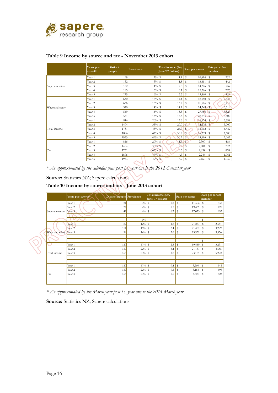

|                 | Years post<br>arrival* | <b>Distinct</b><br>people | Prevalence | Total income (\$m,<br>June '17 dollars) | Rate per earner        | Rate per cohort<br>member |
|-----------------|------------------------|---------------------------|------------|-----------------------------------------|------------------------|---------------------------|
|                 | Year 1                 | 99                        | $2\%$      | s<br>1.1                                | S<br>10,614            | s<br>262                  |
|                 | Year <sub>2</sub>      | 132                       | $3\%$      | s<br>1.8                                | s<br>13,411            | s<br>442                  |
| Superannuation  | Year 3                 | 162                       | $4\%$      | s<br>2.3                                | s<br>14,246            | s<br>576                  |
|                 | Year 4                 | 195                       | $5\%$      | S<br>3.1                                | s<br>15,766            | s<br>767                  |
|                 | Year 5                 | 225                       | 6%         | S<br>3.5                                | S<br>15,460            | s<br>868                  |
| Wage and salary | Year 1                 | 630                       | 16%        | s<br>11.4                               | S<br>18,050            | s<br>2,836                |
|                 | Year <sub>2</sub>      | 636                       | 16%        | s<br>13.7                               | S<br>21,506            | s<br>3,412                |
|                 | Year 3                 | 570                       | 14%        | s<br>14.1                               | Ŝ<br>24,749            | s<br>3,519                |
|                 | Year 4                 | 549                       | 14%        | s<br>15.3                               | S<br>27,950            | $\mathbf{s}$<br>3,827     |
|                 | Year 5                 | 531                       | 13%        | s<br>15.3                               | 28,745<br>s            | 3,807<br>S                |
|                 | Year 1                 | 816                       | 20%        | s<br>13.6                               | s<br>16,674            | S<br>3,394                |
|                 | Year 2                 | 1404                      | 35%        | $\mathbb S$<br>20.0                     | $\mathsf{s}$<br>14,276 | $\mathbf{s}$<br>5,000     |
| Total income    | Year 3                 | 1731                      | 43%        | s<br>26.0                               | S<br>15,012            | s<br>6,482                |
|                 | Year 4                 | 1896                      | 47%        | $\mathbb S$<br>30.8                     | 16,239<br>S            | s<br>7,680                |
|                 | Year 5                 | 1953                      | 49%        | s<br>30.7                               | $\mathbf{s}$<br>15,696 | s<br>7,647                |
|                 | Year 1                 | 816                       | 20%        | s<br>1.9                                | S.<br>2,300            | S<br>468                  |
|                 | Year <sub>2</sub>      | 1404                      | 35%        | 2.8<br>S                                | s<br>2,004             | S<br>702                  |
| Tax             | Year 3                 | 1731                      | 43%        | 3.5<br>S                                | s<br>2,034             | s<br>878                  |
|                 | Year 4                 | 1896                      | 47%        | $\mathsf{s}$<br>4.3                     | S<br>2,244             | s<br>1,061                |
|                 | Year 5                 | 1953                      | 49%        | S<br>4.2                                | S<br>2,160             | S<br>1,052                |

### **Table 9 Income by source and tax - November 2013 cohort**

*\* As approximated by the calendar year post i.e. year one is the 2012 Calendar year* 

**Source:** Statistics NZ; Sapere calculations

#### **Table 10 Income by source and tax - June 2013 cohort**

|   |                 | Years post arrival* | Distinct people Prevalence |          | Total income (\$m,<br>June '17 dollars) | Rate per earner        | Rate per cohort<br>member |
|---|-----------------|---------------------|----------------------------|----------|-----------------------------------------|------------------------|---------------------------|
|   |                 | Year 1              | 21                         | $3\%$    | s<br>$0.2\,$                            | s<br>$11,502$ \$       | 335                       |
|   |                 | Year 2              | 27                         | $4\%$    | $0.5\,$<br>\$                           | $19,459$ \$<br>s       | 728                       |
|   | Superannuation  | Year 3              | 42                         | $6\%$ \$ | 0.7                                     | $17,073$ \$<br>s       | 993                       |
|   |                 |                     |                            |          |                                         |                        |                           |
|   |                 |                     |                            | $0\%$    |                                         |                        | s<br>$\sim$               |
|   |                 | Year 1              | 87                         | 12%      | 1.8<br>s                                | s<br>21,257            | l s<br>2,561              |
|   |                 | Year <sub>2</sub>   | 111                        | 15%      | s<br>2.4                                | s<br>21,457            | l s<br>3,299              |
|   | Wage and salary | Year 3              | 99                         | 14%      | s<br>2.6                                | $25,931$ \$<br>s       | 3,556                     |
|   |                 |                     |                            |          |                                         |                        |                           |
|   |                 |                     |                            |          |                                         |                        | s                         |
|   |                 | Year 1              | 120                        | 17%      | 2.3<br>s                                | s<br>$19,440$ \$       | 3,231                     |
|   |                 | Year 2              | 159                        | 22%      | 3.4<br>s                                | 21,137<br>s            | l s<br>4,655              |
| ╲ | Total income    | Year 3              | 165                        | 23%      | s<br>3.8                                | $23,155$ \$<br>s       | 5,292                     |
|   |                 |                     |                            |          |                                         |                        |                           |
|   |                 |                     |                            |          |                                         |                        |                           |
|   |                 | Year 1              | 120                        | 17%      | s<br>0.4                                | s<br>3,260             | l s<br>542                |
|   |                 | Year 2              | 159                        | 22%      | $0.5\,$<br>s                            | s<br>3,168             | l s<br>698                |
|   | Tax             | Year 3              | 165                        | 23%      | s<br>$0.6\,$                            | $\mathcal{S}$<br>3,601 | s<br>823                  |
|   |                 |                     |                            |          |                                         |                        |                           |
|   |                 |                     |                            |          |                                         |                        |                           |

*\* As approximated by the March year post i.e. year one is the 2014 March year*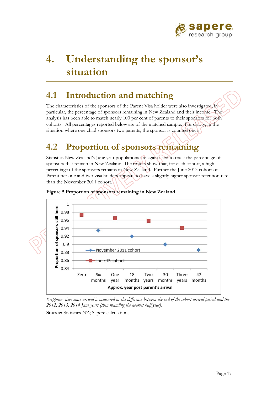

# **4. Understanding the sponsor's situation**

### **4.1 Introduction and matching**

The characteristics of the sponsors of the Parent Visa holder were also investigated, in particular, the percentage of sponsors remaining in New Zealand and their income. The analysis has been able to match nearly 100 per cent of parents to their sponsors for both cohorts. All percentages reported below are of the matched sample. For clarity, in the situation where one child sponsors two parents, the sponsor is counted once.

## **4.2 Proportion of sponsors remaining**

Statistics New Zealand's June year populations are again used to track the percentage of sponsors that remain in New Zealand. The results show that, for each cohort, a high percentage of the sponsors remains in New Zealand. Further the June 2013 cohort of Parent tier one and two visa holders appears to have a slightly higher sponsor retention rate than the November 2011 cohort.





*\*Approx. time since arrival is measured as the difference between the end of the cohort arrival period and the 2012, 2013, 2014 June years (then rounding the nearest half year).*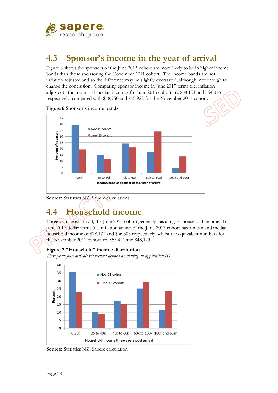

## **4.3 Sponsor's income in the year of arrival**

Figure 6 shows the sponsors of the June 2013 cohort are more likely to be in higher income bands than those sponsoring the November 2011 cohort. The income bands are not inflation adjusted and so the difference may be slightly overstated, although not enough to change the conclusion. Comparing sponsor income in June 2017 terms (i.e. inflation adjusted), the mean and median incomes for June 2013 cohort are \$68,151 and \$64,016 respectively, compared with \$48,750 and \$45,928 for the November 2011 cohort.





**Source:** Statistics NZ; Sapere calculations

## **4.4 Household income**

Three years post arrival, the June 2013 cohort generally has a higher household income. In June 2017 dollar terms (i.e. inflation adjusted) the June 2013 cohort has a mean and median household income of \$78,171 and \$66,503 respectively, whilst the equivalent numbers for the November 2011 cohort are \$53,411 and \$48,123.

### **Figure 7 "Household" income distribution**

*Three years post arrival; Household defined as sharing an application ID* 



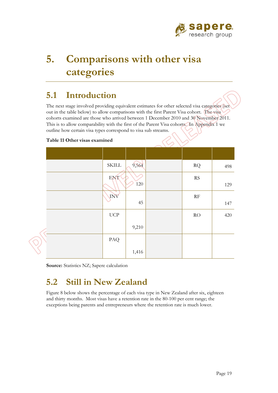

# **5. Comparisons with other visa categories**

### **5.1 Introduction**

The next stage involved providing equivalent estimates for other selected visa categories (set out in the table below) to allow comparisons with the first Parent Visa cohort. The visa cohorts examined are those who arrived between 1 December 2010 and 30 November 2011. This is to allow comparability with the first of the Parent Visa cohorts. In Appendix 1 we outline how certain visa types correspond to visa sub streams.

#### **Table 11 Other visas examined**

|   | $\operatorname{SKILL}$      | 9,564   | $\rm RQ$               | 498 |
|---|-----------------------------|---------|------------------------|-----|
|   | ENT <sup></sup>             |         | $\mathbf{R}\mathbf{S}$ |     |
|   |                             | $120\,$ |                        | 129 |
|   | INV                         |         | $\rm RF$               |     |
|   |                             | 45      |                        | 147 |
|   | $\ensuremath{\mathrm{UCP}}$ |         | RO                     | 420 |
|   |                             | 9,210   |                        |     |
|   | PAQ                         |         |                        |     |
| ⋗ |                             | 1,416   |                        |     |

**Source:** Statistics NZ; Sapere calculation

## **5.2 Still in New Zealand**

exceptions being parents and entrepreneurs where the retention rate is much lower. Figure 8 below shows the percentage of each visa type in New Zealand after six, eighteen and thirty months. Most visas have a retention rate in the 80-100 per cent range; the exceptions being parents and entrepreneurs where the retention rate is much lower.<br>
Page 19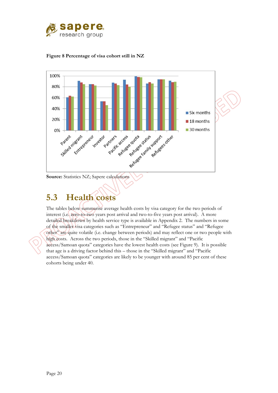





## **5.3 Health costs**

The tables below summarise average health costs by visa category for the two periods of interest (i.e. zero-to-two years post arrival and two-to-five years post arrival). A more detailed breakdown by health service type is available in Appendix 2. The numbers in some of the smaller visa categories such as "Entrepreneur" and "Refugee status" and "Refugee other" are quite volatile (i.e. change between periods) and may reflect one or two people with high costs. Across the two periods, those in the "Skilled migrant" and "Pacific access/Samoan quota" categories have the lowest health costs (see Figure 9). It is possible that age is a driving factor behind this – those in the "Skilled migrant" and "Pacific access/Samoan quota" categories are likely to be younger with around 85 per cent of these cohorts being under 40.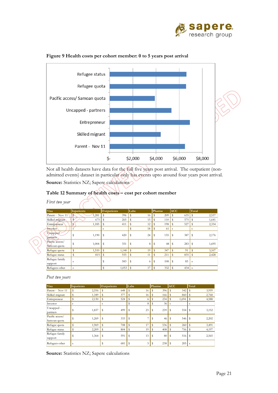



#### **Figure 9 Health costs per cohort member: 0 to 5 years post arrival**

Not all health datasets have data for the full five years post arrival. The outpatient (nonadmitted events) dataset in particular only has events upto around four years post arrival.

**Source:** Statistics NZ; Sapere calculations

#### **Table 12 Summary of health costs – cost per cohort member**

*First two year* 

| <b>Visa</b>                     | <b>Inpatients</b>                 | <b>Outpatients</b> | Labs     | Pharms    | <b>ACC</b>   | Total        |
|---------------------------------|-----------------------------------|--------------------|----------|-----------|--------------|--------------|
| Parent - Nov 11                 | 1,281<br>$\overline{\phantom{a}}$ | s<br>396           | s<br>16  | 209<br>s  | 635<br>s     | \$<br>2,537  |
| Skilled migrant                 | 675<br>$\mathbf{s}$               | 265<br>\$          | 15<br>s  | 110<br>s  | 575<br>s     | 1,641<br>l s |
| Entrepreneur                    | 1,185<br>$\$$                     | \$<br>411          | 12       | 198<br>s  | 527<br>\$    | 2,334        |
| Investor                        |                                   | s                  | 18       | \$<br>61  | s            | s            |
| Uncapped -<br>partners          | 1,190<br>\$                       | \$<br>420          | 24<br>S  | 155<br>\$ | 387<br>s     | \$<br>2,176  |
| Pacific access/<br>Samoan quota | \$<br>1,004                       | \$<br>351          | 8<br>s   | 48<br>s   | 283<br>\$    | 1,695<br>\$  |
| Refugee quota                   | 1,510<br>\$                       | s<br>1,140         | 19<br>\$ | 347<br>s  | 91<br>S      | \$<br>3,107  |
| Refugee status                  | 815<br>\$                         | 555<br>\$          | 11<br>\$ | s<br>211  | s<br>835     | 2,428        |
| Refugee family<br>support       | S                                 | \$<br>583          | S<br>6   | s<br>108  | 85<br>s      | s            |
| Refugees-other                  | s                                 | \$<br>1,053        | 17<br>\$ | 332<br>s  | $434$ s<br>s |              |

*Post two years* 

| Visa                            | Inpatients |       | <b>Outpatients</b> | Labs |    | Pharms   | <b>ACC</b> | Total |
|---------------------------------|------------|-------|--------------------|------|----|----------|------------|-------|
| Parent - Nov 11                 | s          | 2,556 | s<br>648           | s    | 16 | 396<br>s | 342<br>s   | 3,959 |
| Skilled migrant                 | S          | 1,349 | \$<br>377          | s    | 16 | 166<br>s | 860        | 2,768 |
| Entrepreneur                    | S          | 2,130 | s<br>524           | S    |    | 234<br>S | 1,694<br>s | 4,588 |
| Investor                        | s          |       | s                  | s    | 8  | 36<br>S  | -S         | s     |
| Uncapped -<br>partners          | S          | 1,837 | \$<br>499          | S    | 23 | 239<br>S | 554<br>Ŝ   | 3,152 |
| Pacific access/<br>Samoan quota | S          | 1,269 | \$<br>333          | S    |    | 46       | 546<br>S   | 2,202 |
| Refugee quota                   | S          | 1,969 | S<br>708           | s    | 17 | 536      | 260<br>S   | 3,491 |
| Refugee status                  | S          | 2,209 | s<br>804           | S    | 19 | 408<br>Ŝ | 756        | 4,197 |
| Refugee family<br>support       | S          | 1,364 | \$<br>591          | S    | 13 | 80<br>s  | 516<br>s   | 2,565 |
| Refugees-other                  | s          |       | 681                |      | 5  | 238<br>Ŝ | 205        | S     |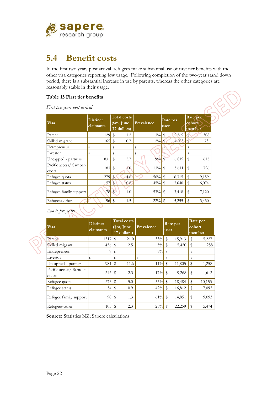

### **5.4 Benefit costs**

In the first two years post arrival, refugees make substantial use of first tier benefits with the other visa categories reporting low usage. Following completion of the two-year stand down period, there is a substantial increase in use by parents, whereas the other categories are reasonably stable in their usage.

RIP

#### **Table 13 First tier benefits**

*First two years post arrival* 

| Visa                            | <b>Distinct</b><br>claimants |                         | <b>Total costs</b><br>$$m,$ June<br>'17 dollars) | Prevalence | user         | Rate per | Rate per<br>cohort<br>member |       |
|---------------------------------|------------------------------|-------------------------|--------------------------------------------------|------------|--------------|----------|------------------------------|-------|
| Parent                          | 129                          | \$                      | 1.2                                              | $3\%$      | \$           | 9,569    |                              | 308   |
| Skilled migrant                 | 165                          | \$                      | 0.7                                              | $2\%$      | $\mathbf{s}$ | 4,203    |                              | 73    |
| Entrepreneur                    | S                            | S                       |                                                  | Ś          | S            |          | S                            |       |
| Investor                        | S                            | S                       |                                                  | S          |              |          | S                            |       |
| Uncapped - partners             | 831                          | \$                      | 5.7                                              | 9%5        |              | 6,819    | \$                           | 615   |
| Pacific access/ Samoan<br>quota | 183                          | \$                      | 1.0                                              | 13%        | S            | 5,611    | S                            | 726   |
| Refugee quota                   | 279                          | $\mathbf{s}$            | 4.6                                              | 56%        | \$           | 16,315   | \$                           | 9,159 |
| Refugee status                  | 57                           | S                       | 0.8                                              | 45%        | $\mathbb{S}$ | 13,640   | \$                           | 6,074 |
| Refugee family support          | 78                           | $\overline{\mathbf{s}}$ | 1.0                                              | 53%        | \$           | 13,418   | \$                           | 7,120 |
| Refugees-other                  | 96                           | \$                      | 1.5                                              | 22%        | \$           | 15,255   | \$                           | 3,430 |

*Two to five years* 

| Visa                            | <b>Distinct</b><br>claimants |               | <b>Total</b> costs<br>\$m, June<br>17 dollars) | Prevalence | user         | Rate per | cohort | Rate per<br>member |
|---------------------------------|------------------------------|---------------|------------------------------------------------|------------|--------------|----------|--------|--------------------|
| Parent                          | 1317                         | \$            | 21.0                                           | 33%        | $\mathbb{S}$ | 15,913   | \$     | 5,227              |
| Skilled migrant                 | 456                          | $\mathbf{\$}$ | 2.5                                            | $5\%$      | \$           | 5,420    | \$     | 258                |
| Entrepreneur                    | 9                            | S             |                                                | $8\%$      | <sub>S</sub> |          | S      |                    |
| Investor                        | S                            | S             |                                                | S          | S            |          | S      |                    |
| Uncapped - partners             | 981                          | \$            | 11.6                                           | $11\%$     | $\mathbb{S}$ | 11,805   | \$     | 1,258              |
| Pacific access/ Samoan<br>quota | 246                          | \$            | 2.3                                            | 17%        | $\mathbb S$  | 9,268    | \$     | 1,612              |
| Refugee quota                   | 273                          | \$            | 5.0                                            | 55%        | $\mathbb{S}$ | 18,484   | \$     | 10,153             |
| Refugee status                  | 54                           | \$            | 0.9                                            | 42%        | $\mathbb S$  | 16,812   | \$     | 7,093              |
| Refugee family support          | 90                           | \$            | 1.3                                            | 61%        | \$           | 14,851   | \$     | 9,093              |
| Refugees-other                  | 105                          | \$            | 2.3                                            | 25%        | $\mathbb S$  | 22,259   | \$     | 5,474              |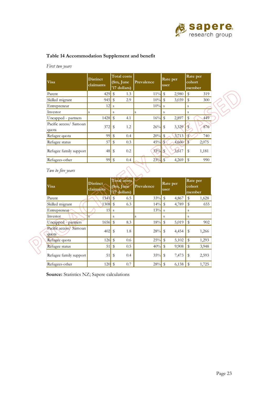

### **Table 14 Accommodation Supplement and benefit**

*First two years* 

| Visa                            | <b>Distinct</b><br>claimants |              | <b>Total costs</b><br>(\$m, June<br>'17 dollars) | Prevalence | user          | Rate per |               | Rate per<br>cohort<br>member |
|---------------------------------|------------------------------|--------------|--------------------------------------------------|------------|---------------|----------|---------------|------------------------------|
| Parent                          | 429                          |              | 1.3                                              | $11\%$ \$  |               | 2,980    | \$            | 319                          |
| Skilled migrant                 | $945$ \$                     |              | 2.9                                              | $10\%$ \$  |               | 3,039    | \$            | 300                          |
| Entrepreneur                    | 12                           | <sub>S</sub> |                                                  | $10\%$ s   |               |          | S             |                              |
| Investor                        | S                            | S            |                                                  | S          | S             |          | S             |                              |
| Uncapped - partners             |                              |              | 4.1                                              | $16\%$ \$  |               | 2,897    | \$            | 449                          |
| Pacific access/ Samoan<br>quota | $372$ \$                     |              | 1.2                                              | $26\%$ \$  |               | 3,329    | S             | 876                          |
| Refugee quota                   | 99                           |              | 0.4                                              | 20%        | \$            | 3,713    | $\mathcal{S}$ | 740                          |
| Refugee status                  | 57                           | \$           | 0.3                                              | $45\%$ \$  |               | 4,660    | $\sqrt{3}$    | 2,075                        |
| Refugee family support          | 48                           | - \$         | 0.2                                              | $33\%$     | <sup>\$</sup> | 3,617    | \$            | 1,181                        |
| Refugees-other                  |                              |              | 0.4                                              | $23\%$ \$  |               | 4,269    | \$            | 990                          |

### *Two to five years*

| Two to five years                  |                              |                |                                                  |            |              |                  |    |                              |
|------------------------------------|------------------------------|----------------|--------------------------------------------------|------------|--------------|------------------|----|------------------------------|
| <b>Visa</b>                        | <b>Distinct</b><br>claimants |                | <b>Total costs</b><br>(\$m, June<br>'17 dollars) | Prevalence |              | Rate per<br>user |    | Rate per<br>cohort<br>member |
| Parent                             | 1341                         | \$             | 6.5                                              | 33%        | $\mathbb{S}$ | 4,867            | \$ | 1,628                        |
| Skilled migrant                    |                              |                | 6.3                                              | 14%        | \$           | 4,789            | \$ | 655                          |
| Entrepreneur                       | 15                           | <sub>S</sub>   |                                                  | 13%        | <sub>S</sub> |                  | S  |                              |
| Investor                           |                              | S              |                                                  | S          | S            |                  | S  |                              |
| Uncapped - partners                | $1656$ \$                    |                | 8.3                                              | 18%        | \$           | 5,019            | \$ | 902                          |
| Pacific access/<br>Samoan<br>quota | 402                          | \$             | 1.8                                              | 28%        | \$           | 4,454            | \$ | 1,266                        |
| Refugee quota                      | 126                          | $\mathfrak{F}$ | 0.6                                              | 25%        | \$           | 5,102            | \$ | 1,293                        |
| Refugee status                     | 51                           | \$             | 0.5                                              | 40%        | \$           | 9,908            | \$ | 3,948                        |
| Refugee family support             | 51                           | \$             | 0.4                                              | 35%        | \$           | 7,473            | \$ | 2,593                        |
| Refugees-other                     | 120                          | $\mathbf{\$}$  | 0.7                                              | 28%        | \$           | 6,138            | \$ | 1,725                        |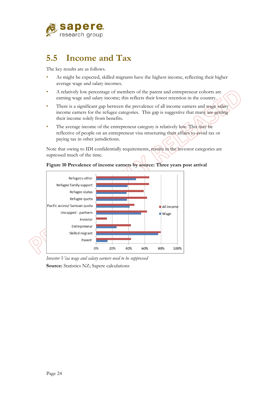

## **5.5 Income and Tax**

The key results are as follows.

- As might be expected, skilled migrants have the highest income, reflecting their higher average wage and salary incomes.
- A relatively low percentage of members of the parent and entrepreneur cohorts are earning wage and salary income; this reflects their lower retention in the country.
- There is a significant gap between the prevalence of all income earners and wage salary income earners for the refugee categories. This gap is suggestive that many are getting their income solely from benefits.
- The average income of the entrepreneur category is relatively low. This may be reflective of people on an entrepreneur visa structuring their affairs to avoid tax or paying tax in other jurisdictions.

Note that owing to IDI confidentially requirements, results in the investor categories are supressed much of the time.



**Figure 10 Prevalence of income earners by source: Three years post arrival** 

*Investor Visa wage and salary earners need to be suppressed*  **Source:** Statistics NZ; Sapere calculations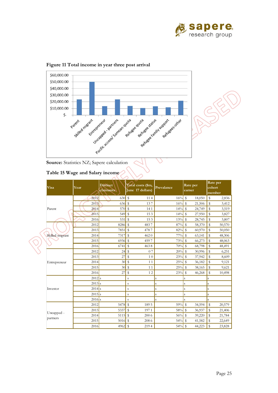



 $\circ$ 



#### **Table 15 Wage and Salary income**

| <b>Visa</b>            |  | Year                | <b>Distinct</b><br>claimants | Total costs (\$m,<br>June 17 dollars) | Prevalance | Rate per<br>earner           | Rate per<br>cohort<br>member |
|------------------------|--|---------------------|------------------------------|---------------------------------------|------------|------------------------------|------------------------------|
|                        |  | 2012                | 630                          | ${\mathbb S}$<br>114                  | 16%        | ${\mathbb S}$<br>18,050      | \$<br>2,836                  |
|                        |  | 2013                |                              | 137                                   | 16%        | $\mathbb S$<br>21,506        | \$<br>3,412                  |
| Parent                 |  | 2014                | 570                          | $\$$<br>141                           | 14%        | $\mathbb S$<br>24,749        | $\mathbb S$<br>3,519         |
|                        |  | 2015                | 549                          | \$<br>153                             | 14%        | ${\mathbb S}$<br>27,950      | \$<br>3,827                  |
|                        |  | 2016                | 531                          | \$<br>153                             | 13%        | \$<br>28,745                 | \$<br>3,807                  |
|                        |  | 2012                | 8286                         | $\$$<br>4837                          | 87%        | ${\mathbb S}$<br>58,370      | $\mathbb S$<br>50,570        |
|                        |  | 2013                | 7851                         | \$<br>4787                            | 82%        | ${\mathbb S}$<br>60,970      | \$<br>50,050                 |
| Skilled migrant        |  | 2014                | 7317                         | $\mathbb{S}$<br>4620                  | 77%        | $\mathbf S$<br>63,141        | \$<br>48,306                 |
|                        |  | 2015                | $6936$ \$                    | 4597                                  | 73%        | $\mathbb S$<br>66,273        | \$<br>48,063                 |
|                        |  | 2016                | 6741                         | \$<br>4638                            | 70%        | ${\mathbb S}$<br>68,798      | \$<br>48,491                 |
|                        |  | 2012                | 24                           | \$<br>07                              | 20%        | $\mathbf{\hat{S}}$<br>30,996 | $\,$<br>6,251                |
|                        |  | 2013                | 27                           | \$<br>1 <sub>0</sub>                  | 23%        | \$<br>37,942                 | \$<br>8,609                  |
| Entrepreneur           |  | 2014                | 30                           | \$<br>11                              | 25%        | \$<br>36,182                 | \$<br>9,121                  |
|                        |  | 2015                | 30                           | $\mathbf{\hat{S}}$<br>11              | 25%        | $\mathbb{S}$<br>38,165       | \$<br>9,621                  |
|                        |  | 2016                | 27                           | 12<br>\$                              | 23%        | ${\mathbb S}$<br>46,268      | \$<br>10,498                 |
|                        |  | $2012$ <sub>s</sub> |                              | $\,$ S                                | S          | $\rm S$                      | S                            |
|                        |  | $2013$ s            |                              | S                                     | S          | $\mathbf S$                  | S                            |
| Investor               |  | $2014$ s            |                              | $\mathbf S$                           | S          | $\mathbf S$                  | S                            |
|                        |  | $2015$ <sub>s</sub> |                              | S                                     | S          | $\mathbf S$                  | S                            |
|                        |  | $2016$ s            |                              | $\mathbf{s}$                          | S          | $\mathbf S$                  | S                            |
|                        |  | 2012                | $5478$ \$                    | 1895                                  | 59%        | $\mathbb{S}$<br>34,594       | $\$$<br>20,579               |
|                        |  | 2013                | 5337                         | $\mathbb S$<br>1971                   | 58%        | \$<br>36,937                 | \$<br>21,406                 |
| Uncapped -<br>partners |  | 2014                | 5115                         | ${\mathbb S}$<br>200 6                | 56%        | $\mathbb{S}$<br>39,220       | \$<br>21,784                 |
|                        |  | 2015                | $5016$ \$                    | 2086                                  | 54%        | $\$$<br>41,582               | \$<br>22,649                 |
|                        |  | 2016                | $4962$ \$                    | 2194                                  | 54%        | ${\mathbb S}$<br>44,223      | \$<br>23,828                 |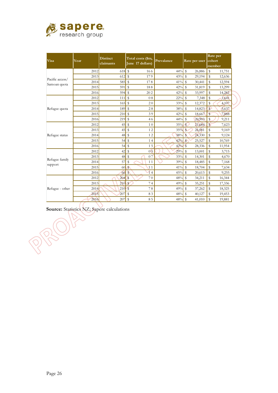

| <b>Visa</b>     | Year | <b>Distinct</b><br>claimants | Total costs (\$m,<br>June 17 dollars) | Prevalance | Rate per user                | Rate per<br>cohort<br>member |
|-----------------|------|------------------------------|---------------------------------------|------------|------------------------------|------------------------------|
|                 | 2012 | 618                          | \$<br>166                             | 44%        | \$<br>26,886                 | ${\mathbb S}$<br>11,751      |
| Pacific access/ | 2013 | 612                          | $\mathbb{S}$<br>179                   | 43%        | $\mathbf S$<br>29,194        | $\mathbb{S}$<br>12,636       |
| Samoan quota    | 2014 | 585                          | $\mathbb S$<br>178                    | 41%        | ${\mathbb S}$<br>30,441      | \$<br>12,594                 |
|                 | 2015 | 591                          | $\$$<br>188                           | 42%        | ${\mathbb S}$<br>31,819      | \$<br>13,299                 |
|                 | 2016 | 594                          | \$<br>202                             | 42%        | Ŝ<br>33,997                  | \$<br>14,282                 |
| Refugee quota   | 2012 | 111                          | \$<br>08                              | $22\%$     | ${\mathbb S}$<br>7,348       | S<br>1,641                   |
|                 | 2013 | 165                          | $\mathbb{S}$<br>20                    | 33%        | \$<br>12,372                 | S<br>4,107                   |
|                 | 2014 | 189                          | \$<br>28                              | 38%        | Ŝ<br>14,823                  | S<br>5,637                   |
|                 | 2015 | 210                          | $\mathbb S$<br>39                     | 42%        | ${\mathbb S}$<br>18,667      | 7,888<br>\$                  |
|                 | 2016 | 219                          | $\mathbb{S}$<br>46                    | 44%        | \$<br>20,903                 | S<br>9,211                   |
|                 | 2012 | 45                           | \$<br>1 <sub>0</sub>                  | 35%        | $\mathsf{s}$<br>21,684       | $\mathsf{S}$<br>7,623        |
|                 | 2013 | 45                           | $\$$<br>12                            | 35%        | S<br>26,081                  | \$<br>9,169                  |
| Refugee status  | 2014 | 48                           | \$<br>12                              | 38%        | $\mathbf S$<br>24,330        | \$<br>9,124                  |
|                 | 2015 | 54                           | $\mathbb S$<br>14                     | 42%        | $\mathbf{s}$<br>25,527       | \$<br>10,769                 |
|                 | 2016 | 54                           | $\mathbb{S}$<br>15                    | 42%        | $\mathbf{\hat{S}}$<br>28,336 | \$<br>11,954                 |
|                 | 2012 | 42                           | \$<br>0 <sub>5</sub>                  | 29%        | \$<br>13,001                 | \$<br>3,715                  |
|                 | 2013 | 48                           | $\mathbb S$<br>07                     | 33%        | $\mathbb{S}$<br>14,301       | \$<br>4,670                  |
| Refugee family  | 2014 | 57                           | \$<br>11                              | 39%        | $\$$<br>18,485               | \$<br>7,168                  |
| support         | 2015 | 60                           | $\mathbf{s}$<br>11                    | 41%        | \$<br>18,704                 | \$<br>7,634                  |
|                 | 2016 | 66                           | $\mathsf{S}$<br>14                    | 45%        | $\mathbb{S}$<br>20,613       | \$<br>9,255                  |
|                 | 2012 | 204                          | $\mathbf{s}$<br>70                    | 48%        | $\mathbb{S}$<br>34,211       | \$<br>16,344                 |
|                 | 2013 | 210                          | $\mathbb{S}$<br>74                    | 49%        | $\mathbb S$<br>35,251        | \$<br>17,336                 |
| Refugee - other | 2014 | 210                          | s<br>78                               | 49%        | \$<br>37,262                 | \$<br>18,325                 |
|                 | 2015 | 207                          | \$<br>83                              | 48%        | $\$$<br>40,127               | \$<br>19,453                 |
|                 | 2016 | 207                          | \$<br>85                              | 48%        | \$<br>41,010                 | \$<br>19,881                 |

Source: Statistics NZ; Sapere calculations

 $\int$ 

RU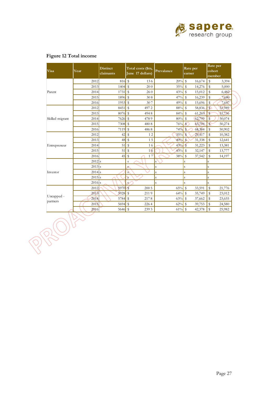

| Visa            | Year                | <b>Distinct</b><br>claimants |                         | Total costs (\$m,<br>June 17 dollars) | Prevalance | earner                  | Rate per |              | Rate per<br>cohort<br>member |  |
|-----------------|---------------------|------------------------------|-------------------------|---------------------------------------|------------|-------------------------|----------|--------------|------------------------------|--|
|                 | 2012                | 816                          | $\$$                    | 136                                   | 20%        | \$                      | 16,674   | \$           | 3,394                        |  |
|                 | 2013                | 1404                         | \$                      | 200                                   | 35%        | $\mathbb{S}$            | 14,276   | \$           | 5,000                        |  |
| Parent          | 2014                | 1731                         | \$                      | 260                                   | 43%        | $\mathbb{S}$            | 15,012   | \$           | 6,482                        |  |
|                 | 2015                | $1896$ \$                    |                         | 308                                   | 47%        | \$                      | 16,239   | \$           | 7,680                        |  |
|                 | 2016                | 1953                         | $\mathbb{S}$            | 307                                   | 49%        | \$                      | 15,696   | \$           | 7,647                        |  |
|                 | 2012                | 8451                         | $\mathbb{S}$            | 4972                                  | 88%        | $\mathbb{S}$            | 58,836   | $\mathbf{s}$ | 51,989                       |  |
|                 | 2013                | 8076                         | $\mathbb{S}$            | 4948                                  | 84%        | $\sqrt{3}$              | 61,269   | S            | 51,736                       |  |
| Skilled migrant | 2014                | 7626                         | $\mathbb{S}$            | 4789                                  | 80%        | \$                      | 62,799   | \$           | 50,074                       |  |
|                 | 2015                | 7308                         | $\mathbb{S}$            | 4808                                  | 76%        | $\mathbf{s}$            | 65,794   | $\mathbb{S}$ | 50,274                       |  |
|                 | 2016                | 7119                         | \$                      | 4868                                  | 74%        | S                       | 68,384   | $\mathbb{S}$ | 50,902                       |  |
|                 | 2012                | 42                           | \$                      | 12                                    | 35%        | $\mathbf{s}$            | 29,417   | \$           | 10,382                       |  |
|                 | 2013                | 48                           | \$                      | 15                                    | 40%        | $\mathbb{S}$            | 31,338   | \$           | 12,641                       |  |
| Entrepreneur    | 2014                | 51                           | \$                      | 16                                    | 43%        | $\mathcal{S}$           | 31,223   | $\mathbb{S}$ | 13,381                       |  |
|                 | 2015                | 51                           | ${\mathbb S}$           | 16                                    | 43%        | $\sqrt[6]{\frac{1}{2}}$ | 32,147   | \$           | 13,777                       |  |
|                 | 2016                | 45                           | \$                      | 17                                    | 38%        | \$                      | 37,542   | \$           | 14,197                       |  |
|                 | $2012$ <sub>s</sub> |                              | S                       |                                       | S          | S                       |          | S            |                              |  |
|                 | $2013$ <sub>s</sub> |                              | S                       |                                       | S          | $\rm S$                 |          | S            |                              |  |
| Investor        | $2014$ s            |                              | $\mathbf S$             |                                       | S          | S                       |          | S            |                              |  |
|                 | $2015$ s            |                              | $\overline{\mathbf{s}}$ |                                       | S          | S                       |          | S            |                              |  |
|                 | $2016$ <sub>s</sub> |                              | $\mathbf{s}$            |                                       | S          | S                       |          | S            |                              |  |
|                 | 2012                | 5970                         | $\mathbf{s}$            | 200 5                                 | 65%        | $\mathbb{S}$            | 33,591   | \$           | 21,776                       |  |
|                 | 2013                | 5928                         | $\mathbb S$             | 2119                                  | 64%        | $\sqrt{3}$              | 35,749   | $\mathbb S$  | 23,012                       |  |
| Uncapped -      | 2014                | 5784                         | ${\mathbb S}$           | 2178                                  | 63%        | $\mathbb{S}$            | 37,662   | \$           | 23,655                       |  |
| partners        | 2015                | 5694                         | $\mathbf S$             | 2264                                  | 62%        | \$                      | 39,753   | \$           | 24,580                       |  |
|                 | 2016                | 5646                         | $\mathbb S$             | 2393                                  | 61%        | $\mathbf{\hat{S}}$      | 42,378   | $\mathbb{S}$ | 25,982                       |  |

### **Figure 12 Total income**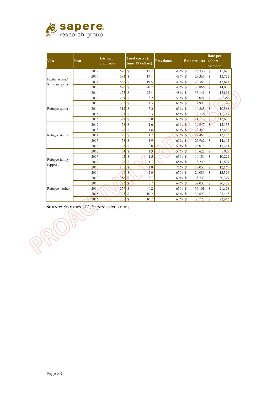

| <b>Visa</b>                     | Year | <b>Distinct</b><br>claimants         | Total costs (\$m,<br>June 17 dollars) | Prevalance | Rate per user                     | Rate per<br>cohort<br>member |
|---------------------------------|------|--------------------------------------|---------------------------------------|------------|-----------------------------------|------------------------------|
|                                 | 2012 | 678                                  | \$<br>179                             | 48%        | ${\mathbb S}$<br>26,333           | $\mathbb S$<br>12,626        |
| Pacific access/<br>Samoan quota | 2013 | 684                                  | \$<br>194                             | 48%        | \$<br>28,365                      | S<br>13,721                  |
|                                 | 2014 | 666                                  | \$<br>196                             | 47%        | $\mathbf S$<br>29,387             | \$<br>13,841                 |
|                                 | 2015 | 678                                  | $\sqrt[6]{\frac{1}{2}}$<br>209        | 48%        | ${\mathbb S}$<br>30,866           | $\mathbb{S}$<br>14,800       |
|                                 | 2016 | 675                                  | \$<br>224                             | 48%        | \$<br>33,141                      | S<br>15,821                  |
|                                 | 2012 | 264                                  | \$<br>32                              | 53%        | $\mathbb S$<br>12,021             | \$<br>6,386                  |
|                                 | 2013 | 303                                  | $\$$<br>45                            | 61%        | $\mathbf S$<br>14,997             | \$<br>9,143                  |
| Refugee quota                   | 2014 | 312                                  | ${\mathbb S}$<br>53                   | 63%        | s<br>16,865                       | S<br>10,588                  |
|                                 | 2015 | 321                                  | \$<br>63                              | 65%        | ${\mathbb S}$<br>19,738           | 12,749<br>S                  |
|                                 | 2016 | 321                                  | $\$$<br>68                            | 65%        | $\mathbb S$<br>21,115             | \$<br>13,638                 |
|                                 | 2012 | 78                                   | $\,$<br>16                            | 61%        | S<br>19,947                       | $\mathsf{s}$<br>12,155       |
|                                 | 2013 | 78                                   | \$<br>18                              | 61%        | $\mathbf{s}$<br>22,449            | \$<br>13,680                 |
| Refugee status                  | 2014 | 75                                   | $\,$<br>17                            | 59%        | $\mathbf{s}$<br>22,465            | \$<br>13,163                 |
|                                 | 2015 | 78                                   | $\,$<br>19                            | 61%        | $\mathbf{s}$<br>23,962            | \$<br>14,602                 |
|                                 | 2016 | 75                                   | \$<br>20                              | 59%        | $\overline{\mathbb{S}}$<br>26,016 | \$<br>15,244                 |
|                                 | 2012 | 84                                   | $\mathbb S$<br>13                     | 57%        | $\$$<br>15,622                    | \$<br>8,927                  |
|                                 | 2013 | 93                                   | $\,$<br>15                            | 63%        | $\mathbb{S}$<br>16,156            | \$<br>10,221                 |
| Refugee family                  | 2014 | 96                                   | \$<br>17                              | 65%        | $\mathbb{S}$<br>18,220            | \$<br>11,899                 |
| support                         | 2015 | $105 \,$ $\frac{\text{S}}{\text{S}}$ | 18                                    | 71%        | $\mathbf{\hat{S}}$<br>17,033      | \$<br>12,167                 |
|                                 | 2016 | 99                                   | 20<br>$\mathbf S$                     | 67%        | $\mathbb{S}$<br>20,083            | \$<br>13,526                 |
|                                 | 2012 | 258                                  | $\mathbf{s}$<br>87                    | 60%        | \$<br>33,729                      | \$<br>20,379                 |
|                                 | 2013 | 273                                  | $\mathbb{S}$<br>87                    | 64%        | $\mathbb{S}$<br>32,035            | \$<br>20,482                 |
| Refugee - other                 | 2014 | 279                                  | $\mathbf S$<br>92                     | 65%        | \$<br>33,101                      | \$<br>21,628                 |
|                                 | 2015 | 273                                  | $\mathbb{S}$<br>100                   | 64%        | $\mathbf{\hat{S}}$<br>36,699      | \$<br>23,463                 |
|                                 | 2016 | 285                                  | \$<br>102                             | 67%        | \$<br>35,723                      | \$<br>23,843                 |

**Source:** Statistics NZ; Sapere calculations

 $\overline{r}$ 

RIC

 $\overrightarrow{Q}$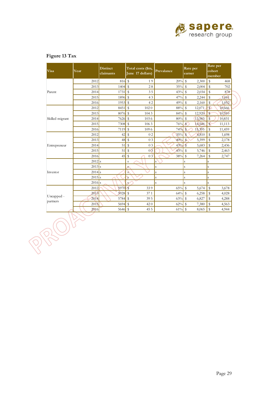

| Visa            | Year                | <b>Distinct</b><br>claimants | Total costs (\$m,<br>June 17 dollars) | Prevalance | Rate per<br>earner               | Rate per<br>cohort<br>member      |
|-----------------|---------------------|------------------------------|---------------------------------------|------------|----------------------------------|-----------------------------------|
|                 | 2012                | 816                          | $\$$<br>19                            | 20%        | $\mathbb{S}$<br>2,300            | \$<br>468                         |
|                 | 2013                | $1404$ \$                    | 28                                    | 35%        | $\mathbb S$<br>2,004             | $\mathbb{S}$<br>702               |
| Parent          | 2014                | 1731                         | $\$$<br>35                            | 43%        | $\mathbb{S}$<br>2,034            | $\mathbb{S}$<br>878               |
|                 | 2015                | 1896                         | $\mathbb{S}$<br>43                    | 47%        | $\mathbb{S}$<br>2,244            | S<br>1,061                        |
|                 | 2016                | $1953$ \$                    | 42                                    | 49%        | $\mathbb S$<br>2,160             | \$<br>1,052                       |
| Skilled migrant | 2012                | 8451                         | $\$$<br>1020                          | 88%        | ${\mathbb S}$<br>12,071          | $\mathbf{s}$<br>10,666            |
|                 | 2013                | 8076 \$                      | 1043                                  | 84%        | $\sqrt{3}$<br>12,920             | S<br>10,910                       |
|                 | 2014                | 7626                         | \$<br>1036                            | 80%        | \$<br>13,583                     | $\overline{\mathbb{S}}$<br>10,831 |
|                 | 2015                | 7308                         | $\$$<br>1063                          | 76%        | $\mathbf{S}$<br>14,544           | $\mathbb{S}$<br>11,113            |
|                 | 2016                | 7119                         | $\mathbb{S}$<br>1096                  | 74%        | S<br>15,395                      | \$<br>11,459                      |
|                 | 2012                | 42                           | \$<br>0 <sub>2</sub>                  | 35%        | $\mathbf{s}$<br>4,810            | \$<br>1,698                       |
|                 | 2013                | 48                           | \$<br>03                              | 40%        | $\sqrt{3}$<br>5,399              | \$<br>2,178                       |
| Entrepreneur    | 2014                | 51                           | \$<br>03                              | $43\%$ \$  | 5,683                            | \$<br>2,436                       |
|                 | 2015                | 51                           | ${\mathbb S}$<br>0 <sub>3</sub>       | 43%        | $\sqrt[6]{\frac{1}{2}}$<br>5,746 | \$<br>2,463                       |
|                 | 2016                | 45                           | \$<br>03                              | 38%        | $\mathbb{S}$<br>7,264            | \$<br>2,747                       |
|                 | $2012$ <sub>s</sub> |                              | S                                     | S          | S                                | S                                 |
|                 | $2013$ <sub>s</sub> |                              | S                                     | S          | $\mathbf S$                      | S                                 |
| Investor        | $2014$ s            |                              | $\overline{\mathbf{s}}$               | S          | S                                | S                                 |
|                 | $2015$ <sub>s</sub> |                              | s                                     | S          | $\mathbf S$                      | S                                 |
|                 | $2016$ <sub>s</sub> |                              | $S^{\prime}$                          | S          | S                                | S                                 |
|                 | 2012                | 5970 <sup>S</sup>            | 339                                   | 65%        | $\mathbb S$<br>5,674             | \$<br>3,678                       |
|                 | 2013                | 5928                         | $\mathbb S$<br>371                    | 64%        | \$<br>6,258                      | \$<br>4,028                       |
| Uncapped -      | 2014                | 5784                         | ${\mathbb S}$<br>395                  | 63%        | $\mathbb{S}$<br>6,827            | \$<br>4,288                       |
| partners        | 2015                | 5694                         | ${\mathbb S}$<br>420                  | 62%        | \$<br>7,380                      | \$<br>4,563                       |
|                 | 2016                | $5646$ \$                    | 455                                   | 61%        | $\mathbb S$<br>8,065             | \$<br>4,944                       |

### **Figure 13 Tax**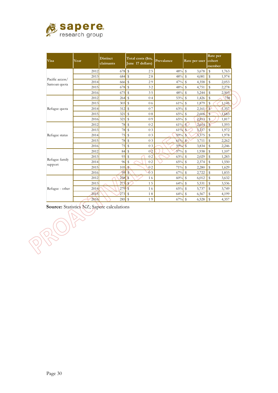

| <b>Visa</b>     | Year | <b>Distinct</b><br>claimants | Total costs (\$m,<br>June 17 dollars) |                | Prevalance |                    | Rate per user cohort |                    | Rate per<br>member |
|-----------------|------|------------------------------|---------------------------------------|----------------|------------|--------------------|----------------------|--------------------|--------------------|
|                 | 2012 | $678$ \$                     |                                       | 25             | 48%        | \$                 | 3,678                | ${\mathbb S}$      | 1,763              |
| Pacific access/ | 2013 | 684                          | $\mathbb{S}$                          | 28             | 48%        | \$                 | 4,081                | ${\mathbb S}$      | 1,974              |
| Samoan quota    | 2014 | 666                          | \$                                    | 29             | 47%        | ${\mathbb S}$      | 4,358                | $\mathbf S$        | 2,053              |
|                 | 2015 | $678$ \$                     |                                       | 32             | 48%        | $\mathbb{S}$       | 4,751                | $\mathbb S$        | 2,278              |
|                 | 2016 | 675                          | \$                                    | 35             | 48%        | \$                 | 5,244                | ${\mathbb S}$      | 2,503              |
|                 | 2012 | 264                          | \$                                    | 0 <sub>4</sub> | 53%        | \$                 | 1,426                | \$                 | 758                |
| Refugee quota   | 2013 | 303                          | $\mathbb{S}$                          | 06             | 61%        | $\mathsf{\$}$      | 1,879                | \$                 | 1,145              |
|                 | 2014 | 312                          | \$                                    | 07             | 63%        | \$                 | 2,161                | $\mathbf{s}$       | 1,357              |
|                 | 2015 | 321                          | \$                                    | 08             | 65%        | \$                 | 2,606                | S                  | 1,683              |
|                 | 2016 | 321                          | \$                                    | 09             | 65%        | $\mathbf S$        | 2,813                | ${\mathbb S}$      | 1,817              |
|                 | 2012 | 78                           | \$                                    | 0 <sub>2</sub> | 61%        | $\mathcal{L}$      | 2,614                | $\mathbf{s}$       | 1,593              |
|                 | 2013 | 78                           | \$                                    | 03             | 61%        | $\mathbb{S}$       | 3,237                | \$                 | 1,972              |
| Refugee status  | 2014 | 75                           | \$                                    | 03             | 59%        | $\mathsf{s}$       | 3,375                | $\mathbf{\hat{S}}$ | 1,978              |
|                 | 2015 | 78                           | \$                                    | 03             | 61%        | $\mathcal{S}$      | 3,711                | \$                 | 2,262              |
|                 | 2016 | 75                           | \$                                    | 03             | 59%        | $\mathsf{\$}$      | 3,834                | \$                 | 2,246              |
|                 | 2012 | 84                           | \$                                    | 0 <sub>2</sub> | 57%        | $\mathbb{S}$       | 1,938                | ${\mathbb S}$      | 1,107              |
|                 | 2013 | 93                           | \$                                    | 0 <sub>2</sub> | 63%        | \$                 | 2,029                | \$                 | 1,283              |
| Refugee family  | 2014 | 96                           | \$                                    | 0 <sub>2</sub> | 65%        | \$                 | 2,374                | \$                 | 1,550              |
| support         | 2015 | 105                          | $\mathbf{s}$                          | 0 <sub>2</sub> | 71%        | $\mathbb{S}$       | 2,280                | $\mathbb S$        | 1,629              |
|                 | 2016 | 99                           | \$                                    | 0 <sub>3</sub> | 67%        | \$                 | 2,722                | \$                 | 1,833              |
|                 | 2012 | 258                          | $\mathbf{s}$                          | 16             | 60%        | \$                 | 6,012                | \$                 | 3,632              |
|                 | 2013 | 273                          | $\mathbb{S}$                          | 15             | 64%        | $\mathbb{S}$       | 5,531                | $\$$               | 3,536              |
| Refugee - other | 2014 | 279                          | S                                     | 16             | 65%        | \$                 | 5,737                | \$                 | 3,749              |
|                 | 2015 | 273                          | $\mathbf S$                           | 18             | 64%        | $\mathbf{\hat{S}}$ | 6,567                | \$                 | 4,199              |
|                 | 2016 | 285                          | \$                                    | 19             | 67%        | $\mathbb{S}$       | 6,528                | \$                 | 4,357              |

**Source:** Statistics NZ; Sapere calculations

 $\overline{r}$ 

PRO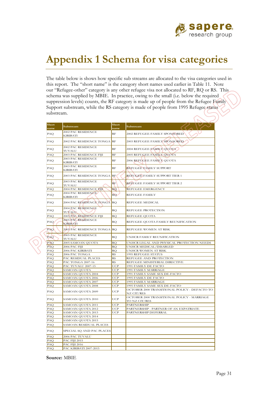

## **Appendix 1 Schema for visa categories**

The table below is shows how specific sub streams are allocated to the visa categories used in this report. The "short name" is the category short names used earlier in Table 11. Note our "Refugee-other" category is any other refugee visa not allocated to RF, RQ or RS. This schema was supplied by MBIE. In practice, owing to the small (i.e. below the required suppression levels) counts, the RF category is made up of people from the Refugee Family Support substream, while the RS category is made of people from 1995 Refugee status substream.

| Short<br>name | Substream                              | Short<br>name | Substream                                                                                    |
|---------------|----------------------------------------|---------------|----------------------------------------------------------------------------------------------|
| PAQ           | 2002 PAC RESIDENCE<br>KIRIBATI         | RF            | 2002 REFUGEE FAMILY SPONSORED                                                                |
| PAQ           | 2002 PAC RESIDENCE TONGA               | RF            | 2003 REFUGEE FAMILY SPONSORED                                                                |
| PAQ           | 2002 PAC RESIDENCE<br>TUVALU           | RF            | 2004 REFUGEE FAMILY QUOTA                                                                    |
| PAQ           | 2003 PAC RESIDENCE FIJI                | RF            | 2005 REFUGEE FAMILY QUOTA                                                                    |
| PAQ           | 2003 PAC RESIDENCE<br>KIRIBATI         | RF            | 2006 REFUGEE FAMILY QUOTA                                                                    |
| PAQ           | 2003 PAC RESIDENCE<br><b>KIRIBATI</b>  | RF            | REFUGEE FAMILY SUPPORT                                                                       |
| PAQ           | 2003 PAC RESIDENCE TONGA               | RF            | REFUGEE FAMILY SUPPORT TIER 1                                                                |
| PAQ           | 2003 PAC RESIDENCE<br>TUVALU           | RF            | REFUGEE FAMILY SUPPORT TIER 2                                                                |
| PAQ           | 2004 PAC RESIDENCE FIJI                | <b>RQ</b>     | <b>REFUGEE EMERGENCY</b>                                                                     |
| PAQ           | 2004 PAC RESIDENCE<br><b>KIRIBATI</b>  | <b>RQ</b>     | <b>REFUGEE FAMILY</b>                                                                        |
| PAQ           | 2004 PAC RESIDENCE TONGA               | <b>RQ</b>     | <b>REFUGEE MEDICAL</b>                                                                       |
| PAQ           | 2004 PAC RESIDENCE<br><b>TUVALU</b>    | RQ            | REFUGEE PROTECTION                                                                           |
| PAQ           | 2005 PAC RESIDENCE FIJI                | <b>RQ</b>     | <b>REFUGEE QUOTA</b>                                                                         |
| PAQ           | 2005 PAC RESIDENCE<br><b>KIRIBATI</b>  | RQ            | REFUGEE QUOTA FAMILY REUNIFICATION                                                           |
| PAQ           | 2005 PAC RESIDENCE TONGA RQ            |               | REFUGEE WOMEN AT RISK                                                                        |
| PAQ           | 2005 PAC RESIDENCE<br>TUVALU           | RQ            | UNHCR FAMILY REUNIFICATION                                                                   |
| PAO           | 2005 SAMOAN QUOTA                      | <b>RO</b>     | UNHCR LEGAL AND PHYSICAL PROTECTION NEEDS                                                    |
| PAQ           | 2006 PAC FIJI                          | RQ            | UNHCR MEDICAL/DISABLED                                                                       |
| PAQ           | 2006 PAC KIRIBATI                      | RQ            | UNHCR WOMEN AT RISK                                                                          |
| PAQ           | 2006 PAC TONGA                         | RS            | 1995 REFUGEE STATUS                                                                          |
| PAQ           | PAC RESIDUAL PLACES                    | RS            | REFUGEE AND PROTECTION                                                                       |
| PAQ           | PAC TONGA 2007-16                      | RS            | REFUGEE MINISTERIAL DIRECTIVE                                                                |
| PAQ           | PAC TUVALU 2007-15                     | <b>UCP</b>    | 1991 FAMILY DE FACTO                                                                         |
| PAQ           | <b>SAMOAN QUOTA</b>                    | UCP           | 1991 FAMILY MARRIAGE                                                                         |
| PAQ           | SAMOAN QUOTA 2004                      | <b>UCP</b>    | 1991 FAMILY SAME SEX DE-FACTO                                                                |
| PAQ           | SAMOAN QUOTA 2006                      | UCP           | 1995 FAMILY DE FACTO                                                                         |
| PAQ           | SAMOAN QUOTA 2007                      | <b>UCP</b>    | 1995 FAMILY MARRIAGE                                                                         |
| PAQ<br>PAQ    | SAMOAN QUOTA 2008<br>SAMOAN QUOTA 2009 | UCP<br>UCP    | 1995 FAMILY SAME SEX DE-FACTO<br>OCTOBER 2000 TRANSITIONAL POLICY - DEFACTO TO<br>NZ CIT/RES |
| PAQ           | SAMOAN QUOTA 2010                      | UCP           | OCTOBER 2000 TRANSITIONAL POLICY - MARRIAGE<br>TO NZ CIT/RES                                 |
| PAQ           | SAMOAN QUOTA 2011                      | <b>UCP</b>    | <b>PARTNERSHIP</b>                                                                           |
| PAQ           | SAMOAN QUOTA 2012                      | UCP           | PARTNERSHIP - PARTNER OF AN EXPATRIATE                                                       |
| PAQ           | SAMOAN QUOTA 2013                      | <b>UCP</b>    | PARTNERSHIP DEFERRAL                                                                         |
| PAQ           | SAMOAN QUOTA 2014                      |               |                                                                                              |
| PAQ           | SAMOAN QUOTA 2015                      |               |                                                                                              |
| PAQ           | SAMOAN RESIDUAL PLACES                 |               |                                                                                              |
| PAQ           | SPECIAL SQ AND PAC PLACES              |               |                                                                                              |
| PAQ           | 2006 PAC TUVALU                        |               |                                                                                              |
| PAO           | PAC FIJI 2015                          |               |                                                                                              |
| PAQ           | PAC FIJI 2016                          |               |                                                                                              |
| PAQ           | PAC KIRIBATI 2007-2015                 |               |                                                                                              |

**Source:** MBIE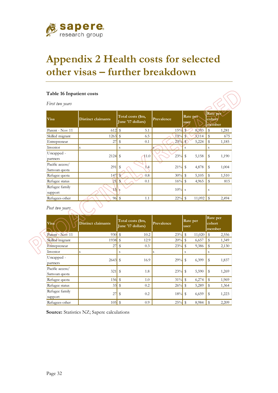

# **Appendix 2 Health costs for selected other visas – further breakdown**

#### **Table 16 Inpatient costs**

*First two years* 

| <b>Visa</b>                     | <b>Distinct claimants</b> | Total costs (\$m,<br>June '17 dollars) | Prevalence | Rate per<br>user            | Rate per<br>cohort<br>member |
|---------------------------------|---------------------------|----------------------------------------|------------|-----------------------------|------------------------------|
| Parent - Nov 11                 | 612                       | $\mathbb{S}$<br>5.1                    | 15%        | $\mathbf{\hat{S}}$<br>8,393 | \$<br>1,281                  |
| Skilled migrant                 | 1263                      | $\sqrt[6]{2}$<br>6.5                   | 13%        | 5,114                       | \$<br>675                    |
| Entrepreneur                    | 27                        | $\sqrt[6]{2}$<br>0.1                   | 23%        | $\mathbb{S}$<br>5,224       | \$<br>1,185                  |
| Investor                        | S                         | S                                      | s          | S                           | S                            |
| Uncapped -<br>partners          | 2124                      | $\mathbb{S}$<br>11.0                   | 23%        | \$<br>5,158                 | \$<br>1,190                  |
| Pacific access/<br>Samoan quota | 291                       | \$<br>1.4                              | 21%        | \$<br>4,878                 | \$<br>1,004                  |
| Refugee quota                   | 147                       | $\mathbf{\hat{S}}$<br>0.8              | 30%        | $\mathbb{S}$<br>5,105       | \$<br>1,510                  |
| Refugee status                  | 21                        | $\mathbb{S}$<br>0.1                    | 16%        | $\mathbb{S}$<br>4,965       | 815<br>\$                    |
| Refugee family<br>support       | 15                        | <sub>S</sub>                           | 10%        | <sub>S</sub>                | S                            |
| Refugees-other                  |                           | $96$ \$<br>1.1                         | $22\%$ \$  | 11,092                      | $\mathbb{S}$<br>2,494        |
| Post two years                  |                           |                                        |            |                             |                              |

| Visa                            | <b>Distinct claimants</b> | Total costs (\$m,<br>June '17 dollars) | Prevalence   | Rate per<br>user      | Rate per<br>cohort<br>member |
|---------------------------------|---------------------------|----------------------------------------|--------------|-----------------------|------------------------------|
| Parent - Nov 11                 | 930                       | $\mathbb{S}$<br>10.2                   | 23%          | \$<br>11,020          | \$<br>2,556                  |
| Skilled migrant                 | 1938                      | \$<br>12.9                             | 20%          | $\mathbb{S}$<br>6,657 | $\mathbb{S}$<br>1,349        |
| Entrepreneur                    | 27                        | \$<br>0.3                              | $23\%$ \$    | 9,386                 | \$<br>2,130                  |
| Investor                        | S                         | S                                      | <sup>S</sup> | S                     | S                            |
| Uncapped -<br>partners          | $2643$ \$                 | 16.9                                   | $29%$ \$     | 6,399                 | \$<br>1,837                  |
| Pacific access/<br>Samoan quota | 321                       | $\mathbb{S}$<br>1.8                    | $23\%$ \$    | 5,590                 | \$<br>1,269                  |
| Refugee quota                   | $156$ \$                  | 1.0                                    | $31\%$ \$    | 6,274                 | $\mathbb{S}$<br>1,969        |
| Refugee status                  | 33                        | \$<br>0.2                              | 26%          | \$<br>5,289           | \$<br>1,364                  |
| Refugee family<br>support       | 27                        | \$<br>0.2                              | $18\%$ \$    | 6,659                 | 1,223<br>\$                  |
| Refugees-other                  | $105$ \$                  | 0.9                                    | 25%          | -\$<br>8,984          | \$<br>2,209                  |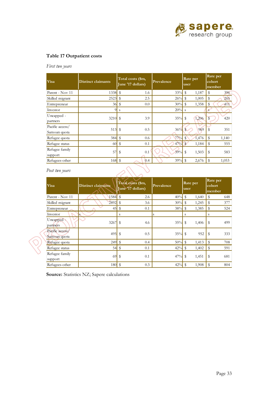

#### **Table 17 Outpatient costs**

*First two years* 

| Visa                            | <b>Distinct claimants</b> | Total costs (\$m,<br>June '17 dollars) | Prevalence | Rate per<br>user       | Rate per<br>cohort<br>member   |
|---------------------------------|---------------------------|----------------------------------------|------------|------------------------|--------------------------------|
| Parent - Nov 11                 |                           | 1.6                                    | 33%        | $\mathcal{F}$<br>1,187 | \$<br>396                      |
| Skilled migrant                 | 2523                      | - \$<br>2.5                            | 26%        | $\mathcal{S}$<br>1,005 | 265<br>\$                      |
| Entrepreneur                    | $36$ \$                   | 0.0                                    | $30\%$ \$  | 1,358                  | $\sqrt[6]{2}$<br>411           |
| Investor                        | $\overline{9}$            | S                                      | 20%        | <sub>S</sub>           | <sup>S</sup>                   |
| Uncapped -<br>partners          | $3210$ $\vert$ \$         | 3.9                                    | 35%        | $\mathcal{S}$<br>1,206 | $\overline{\mathbf{S}}$<br>420 |
| Pacific access/<br>Samoan quota |                           | 0.5                                    | 36%        | $\mathfrak{F}$<br>969  | 351<br>\$                      |
| Refugee quota                   |                           | 0.6                                    | 77%        | $\mathbf{\$}$<br>1,476 | $\mathbf{\$}$<br>1,140         |
| Refugee status                  | 60                        | $\sqrt[6]{3}$<br>0.1                   | 47%        | 1,184                  | 555<br>- \$                    |
| Refugee family<br>support       | 57                        | 0.1<br>\$                              | 39%        | - \$<br>1,503          | \$<br>583                      |
| Refugees-other                  |                           | 0.4                                    | 39%        | - \$<br>2,676          | \$<br>1,053                    |

| Post two years                  |                           |                                        |            |                       |                              |
|---------------------------------|---------------------------|----------------------------------------|------------|-----------------------|------------------------------|
| <b>Visa</b>                     | <b>Distinct claimants</b> | Total costs (\$m,<br>June '17 dollars) | Prevalence | Rate per<br>user      | Rate per<br>cohort<br>member |
| Parent - Nov 11                 | 1584 \$                   | 2.6                                    | 40%        | \$<br>1,640           | \$<br>648                    |
| Skilled migrant                 | 2892                      | $\sqrt[6]{3}$<br>3.6                   | 30%        | \$<br>1,245           | \$<br>377                    |
| Entrepreneur                    | 45                        | $\sqrt[6]{\frac{1}{2}}$<br>0.1         | 38%        | \$<br>1,385           | \$<br>524                    |
| Investor                        | S                         | S                                      | S          | S                     | S                            |
| Uncapped -<br>partners          | 3267                      | \$<br>4.6                              | 35%        | $\mathbb{S}$<br>1,406 | \$<br>499                    |
| Pacific access/<br>Samoan quota | $495$ \$                  | 0.5                                    | $35\%$ \$  | 952                   | \$<br>333                    |
| Refugee quota                   | 249                       | $\mathbb{S}$<br>0.4                    | 50%        | \$<br>1,413           | \$<br>708                    |
| Refugee status                  |                           | 0.1                                    | 42%        | $\mathbb{S}$<br>1,402 | \$<br>591                    |
| Refugee family<br>support       | 69                        | \$<br>0.1                              | 47%        | \$<br>1,451           | \$<br>681                    |
| Refugees-other                  | $180$ \$                  | 0.3                                    | 42%        | \$<br>1,908           | \$<br>804                    |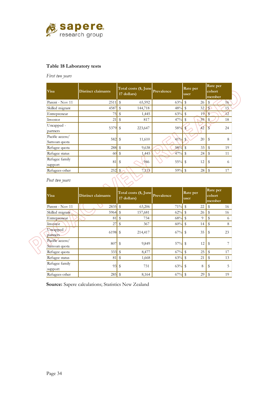

### **Table 18 Laboratory tests**

*First two years* 

| <b>Visa</b>                     | Distinct claimants | Total costs (\$, June<br>17 dollars) | Prevalence | Rate per<br>user      | Rate per<br>cohort<br>member |  |
|---------------------------------|--------------------|--------------------------------------|------------|-----------------------|------------------------------|--|
| Parent - Nov 11                 | 2511               | $\mathcal{S}$<br>65,592              | 63%        | \$<br>26              | \$<br>16                     |  |
| Skilled migrant                 | 4587               | 144,718                              | 48%        | 32 <sub>1</sub><br>\$ | \$<br>15                     |  |
| Entrepreneur                    | 75                 | \$<br>1,445                          | 63%        | \$<br>19              | 12<br>$\mathbb{S}$           |  |
| Investor                        | 21                 | \$<br>817                            | 47%        | \$<br>39              | \$<br>18                     |  |
| Uncapped -<br>partners          | 5379 \$            | 223,647                              | 58%        | 42                    | 24                           |  |
| Pacific access/<br>Samoan quota | $582$ \$           | 11,610                               | 41%        | \$<br>20              | \$<br>8                      |  |
| Refugee quota                   | 288                | $\mathcal{S}$<br>9,638               | 58%        | $\mathbf{\$}$<br>33   | \$<br>19                     |  |
| Refugee status                  | 60                 | $\sqrt[6]{3}$<br>1,445               | 47%        | \$<br>24              | \$<br>11                     |  |
| Refugee family<br>support       | 81                 | \$<br>946                            | $55\%$ \$  | 12                    | \$<br>6                      |  |
| Refugees-other                  | 252                | 7,115<br>\$                          | 59%        | \$<br>28              | \$<br>17                     |  |

#### *Post two years*

| <b>Visa</b>                     | <b>Distinct claimants</b> |              | Total costs (\$, June<br>17 dollars) | Prevalence | Rate per<br>user     | Rate per<br>cohort<br>member |
|---------------------------------|---------------------------|--------------|--------------------------------------|------------|----------------------|------------------------------|
| Parent - Nov 11                 | $2835$ \$                 |              | 63,206                               | 71%        | $\mathbb{S}$<br>22   | $\mathfrak{F}$<br>16         |
| Skilled migrant                 | $5964$ \$                 |              | 157,681                              | $62\%$ \$  | 26                   | \$<br>16                     |
| Entrepreneur                    | 81                        | \$           | 734                                  | 68%        | \$<br>9              | \$<br>6                      |
| Investor                        | 27                        | \$           | 367                                  | 60%        | $\mathfrak{F}$<br>14 | \$<br>8                      |
| Uncapped -<br>partners          | $6198$ \$                 |              | 214,417                              | $67\%$ \$  | 35                   | 23<br>\$                     |
| Pacific access/<br>Samoan quota | 807                       | $\mathbb{S}$ | 9,849                                | $57\%$ \$  | 12                   | \$                           |
| Refugee quota                   | 333                       | $\mathbb{S}$ | 8,477                                | 67%        | 25<br>$\mathbb{S}$   | \$<br>17                     |
| Refugee status                  | 81                        | \$           | 1,668                                | 63%        | 21<br>\$             | \$<br>13                     |
| Refugee family<br>support       | 93                        | \$           | 731                                  | 63%        | 8<br>$\mathbb{S}$    | 5<br>\$                      |
| Refugees-other                  | 285                       |              | 8,164                                | 67%        | \$<br>29             | \$<br>19                     |

**Source:** Sapere calculations; Statistics New Zealand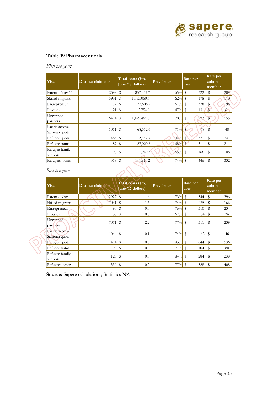

### **Table 19 Pharmaceuticals**

*First two years* 

| Visa                            | <b>Distinct claimants</b> |              | Total costs (\$m,<br>June '17 dollars) | Prevalence | Rate per<br>user |      | Rate per<br>cohort<br>member |  |
|---------------------------------|---------------------------|--------------|----------------------------------------|------------|------------------|------|------------------------------|--|
| Parent - Nov 11                 | $2598$ \$                 |              | 837,257.7                              | 65%        | $\sqrt[6]{3}$    | 322  | $\mathbb{S}$<br>209          |  |
| Skilled migrant                 | 5931                      | $\mathbb{S}$ | 1,053,050.6                            | 62%        | $\mathcal{S}$    | 178  | \$<br>110                    |  |
| Entrepreneur                    | 72                        | \$           | 23,606.2                               | $61\%$ \$  |                  | 328  | 198<br>$\mathcal{S}$         |  |
| Investor                        | 21                        | \$           | 2,754.8                                | 47%        | $\sqrt[6]{3}$    | 131/ | $\sqrt{3}$<br>61             |  |
| Uncapped -<br>partners          | 6414                      | $\mathbb S$  | 1,429,461.0                            | 70%        | $\mathcal{S}$    | 223  | \$<br>155                    |  |
| Pacific access/<br>Samoan quota | $1011$ $\bar{\textbf{s}}$ |              | 68,512.6                               | 71%        | $\mathbf{S}$     | 68   | 48                           |  |
| Refugee quota                   | 465                       | $\mathbb{S}$ | 172,357.3                              | 94%        | $\mathcal{F}$    | 371  | $\mathbf{\$}$<br>347         |  |
| Refugee status                  | 87                        | \$           | 27,029.8                               | 68%        | $\mathbf{s}$     | 311  | $\mathbb{S}$<br>211          |  |
| Refugee family<br>support       | 96                        | \$           | 15,949.3                               | 65%        | - \$             | 166  | $\mathcal{S}$<br>108         |  |
| Refugees-other                  | $318$ \$                  |              | 141,910.2                              | $74\%$ \$  |                  | 446  | 332<br>- \$                  |  |

*Post two years* 

| <b>Visa</b>                     | <b>Distinct claimants</b> | Total costs (\$m,<br>June '17 dollars) | Prevalence | Rate per<br>user          | Rate per<br>cohort<br>member |
|---------------------------------|---------------------------|----------------------------------------|------------|---------------------------|------------------------------|
| Parent - Nov 11                 | 2922                      | $\mathbb{S}$<br>1.6                    | 73%        | $\mathbf{\hat{S}}$<br>544 | \$<br>396                    |
| Skilled migrant                 | 7041                      | l \$<br>1.6                            | 74%        | 225<br>$\mathfrak{F}$     | \$<br>166                    |
| Entrepreneur                    | $90$ \ \ \$               | 0.0                                    | 76%        | $\mathbb{S}$<br>310       | \$<br>234                    |
| Investor                        | $30$ \$                   | 0.0                                    | 67%        | $\sqrt[6]{2}$<br>54       | \$<br>36                     |
| Uncapped -<br>partners          | 7071                      | 2.2<br>\$                              | $77\%$ \$  | 311                       | \$<br>239                    |
| Pacific access/<br>Samoan quota | 1044                      | - \$<br>0.1                            | $74\%$ \$  | 62                        | \$<br>46                     |
| Refugee quota                   | 414                       | $\mathbb{S}$<br>0.3                    | 83%        | $\mathfrak{S}$<br>644     | \$<br>536                    |
| Refugee status                  | 99                        | \$<br>0.0                              | 77%        | \$<br>104                 | \$<br>80                     |
| Refugee family<br>support       | 123                       | \$<br>0.0                              | 84%        | \$<br>284                 | \$<br>238                    |
| Refugees-other                  | 330                       | \$<br>0.2                              | 77%        | \$<br>528                 | 408<br>\$                    |

 $2N$ 

**Source:** Sapere calculations; Statistics NZ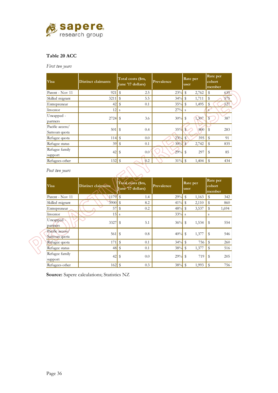

### **Table 20 ACC**

*First two years* 

| <b>Visa</b>                     | <b>Distinct claimants</b> | Total costs (\$m,<br>June '17 dollars) | Prevalence | Rate per<br>user      | Rate per<br>cohort<br>member   |  |
|---------------------------------|---------------------------|----------------------------------------|------------|-----------------------|--------------------------------|--|
| Parent - Nov 11                 | 921                       | $\frac{3}{2}$<br>2.5                   | 23%        | \$<br>2,762           | \$<br>635                      |  |
| Skilled migrant                 | 3211                      | 5.5<br>S                               | 34%        | 1,711<br>$\mathbb{S}$ | 575<br>\$                      |  |
| Entrepreneur                    | 42                        | \$<br>0.1                              | 35%        | $\mathbb{S}$<br>1,495 | 527<br>\$                      |  |
| Investor                        | 12                        | S                                      | $27\%$ s   |                       | S                              |  |
| Uncapped -<br>partners          | 2724                      | $\mathcal{S}$<br>3.6                   | 30%        | \$<br>1,307           | $\overline{\mathbb{S}}$<br>387 |  |
| Pacific access/<br>Samoan quota | 501                       | $\mathbb{S}$<br>0.4                    | 35%        | $\mathcal{S}$<br>800  | 283<br>S                       |  |
| Refugee quota                   | 114                       | $\mathbb{S}$<br>0.0                    | 23%        | \$<br>395             | \$<br>91                       |  |
| Refugee status                  | 39                        | \$<br>0.1                              | 30%        | 2,742<br>$\mathbf{s}$ | \$<br>835                      |  |
| Refugee family<br>support       | 42                        | 0.0<br>\$                              | $29%$ \$   | 297                   | 85<br>\$                       |  |
| Refugees-other                  |                           | 0.2                                    | 31%        | \$<br>1,404           | \$<br>434                      |  |

*Post two years* 

| Visa                            | <b>Distinct claimants</b> | Total costs (\$m,<br>June '17 dollars) | Prevalence | Rate per<br>user    | Rate per<br>cohort<br>member |
|---------------------------------|---------------------------|----------------------------------------|------------|---------------------|------------------------------|
| Parent - Nov 11                 | $1179$ S                  | 1.4                                    | 29%        | \$<br>1,163         | \$<br>342                    |
| Skilled migrant                 | $3900$ \$                 | 8.2                                    | 41%        | \$<br>2,110         | \$<br>860                    |
| Entrepreneur                    | 57                        | \$<br>0.2                              | 48%        | 3,537<br>s,         | \$<br>1,694                  |
| Investor                        | 15                        | <sub>S</sub>                           | $33\%$ s   |                     | S                            |
| Uncapped -<br>partners          | 3327                      | 5.1<br>\$                              | $36\%$     | - \$<br>1,534       | 554<br>\$                    |
| Pacific access/<br>Samoan quota | 561                       | $\mathbb{S}$<br>0.8                    | 40%        | 1,377<br>S          | S<br>546                     |
| Refugee quota                   | 171                       | $\mathbb{S}$<br>0.1                    | 34%        | $\mathbb{S}$<br>756 | \$<br>260                    |
| Refugee status                  |                           | 0.1                                    | 38%        | \$<br>1,377         | \$<br>516                    |
| Refugee family                  | 42                        | 0.0<br>\$                              | 29%        | \$<br>719           | 205<br>\$                    |
| support                         |                           |                                        |            |                     |                              |
| Refugees-other                  | 162                       | 0.3<br>l \$                            | 38%        | \$<br>1,993         | \$<br>756                    |

**Source:** Sapere calculations; Statistics NZ